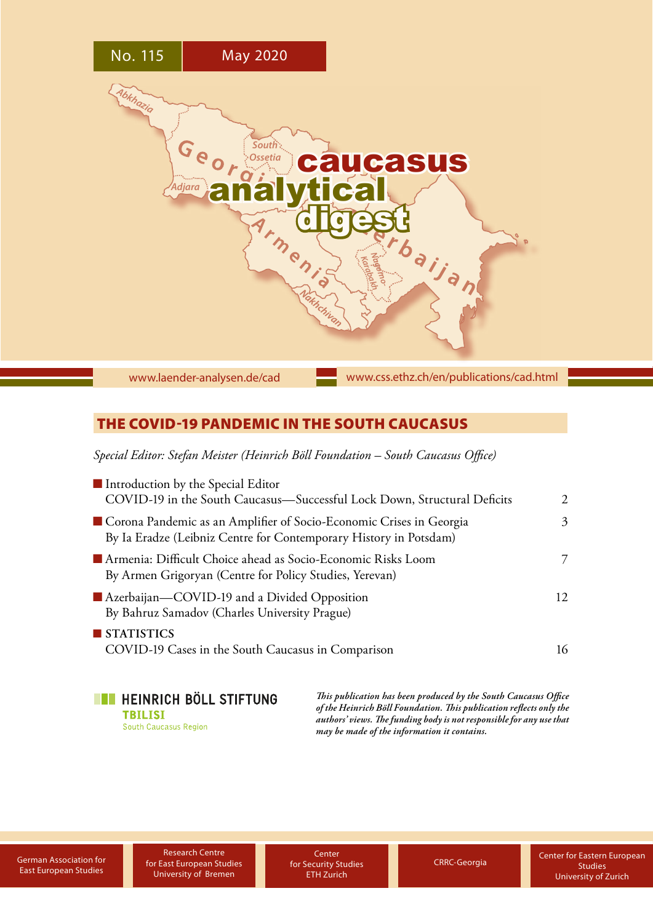

[www.laender-analysen.de/cad](http://www.laender-analysen.de/cad)

[www.css.ethz.ch/en/publications/cad.html](http://www.css.ethz.ch/en/publications/cad.html)

# THE COVID-19 PANDEMIC IN THE SOUTH CAUCASUS

*Special Editor: Stefan Meister (Heinrich Böll Foundation – South Caucasus Office)*

| Introduction by the Special Editor<br>COVID-19 in the South Caucasus-Successful Lock Down, Structural Deficits                           | $2^{1}$ |
|------------------------------------------------------------------------------------------------------------------------------------------|---------|
| Corona Pandemic as an Amplifier of Socio-Economic Crises in Georgia<br>By Ia Eradze (Leibniz Centre for Contemporary History in Potsdam) | 3       |
| Armenia: Difficult Choice ahead as Socio-Economic Risks Loom<br>By Armen Grigoryan (Centre for Policy Studies, Yerevan)                  |         |
| Azerbaijan-COVID-19 and a Divided Opposition<br>By Bahruz Samadov (Charles University Prague)                                            | 12.     |
| STATISTICS<br>COVID-19 Cases in the South Caucasus in Comparison                                                                         | 16      |

**TE HEINRICH BÖLL STIFTUNG TBILISI** South Caucasus Region

*This publication has been produced by the South Caucasus Office of the Heinrich Böll Foundation. This publication reflects only the authors' views. The funding body is not responsible for any use that may be made of the information it contains.*

Research Centre [German Association for](https://www.dgo-online.org/international/english/)<br>
East European Studies<br>
Liniversity of Rremen CTH Zurich [CRRC-Georgia](http://crrc.ge/en/) University of Bremen

**Center** for Security Studies ETH Zurich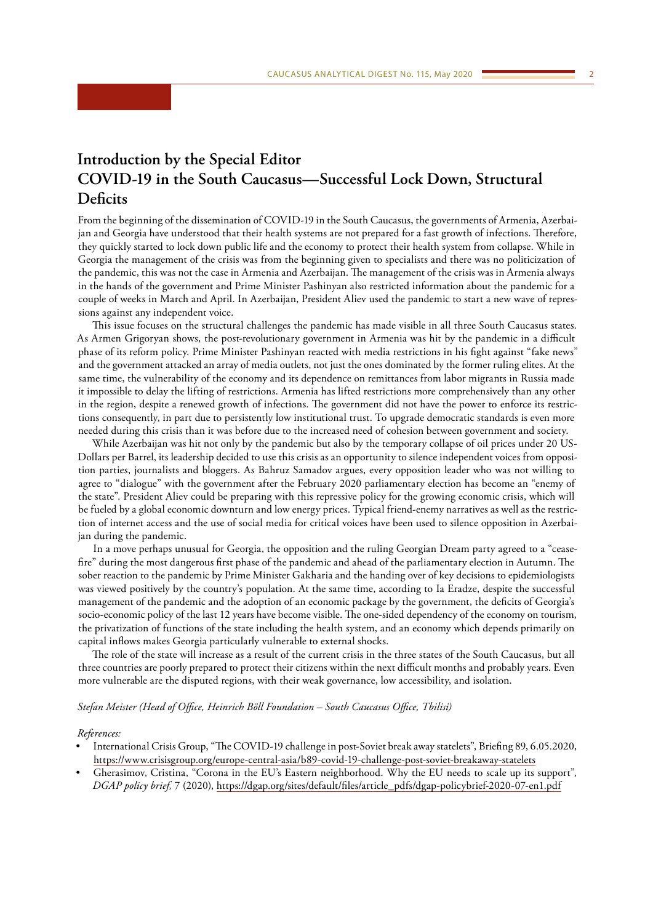# <span id="page-1-0"></span>**Introduction by the Special Editor COVID-19 in the South Caucasus—Successful Lock Down, Structural Deficits**

From the beginning of the dissemination of COVID-19 in the South Caucasus, the governments of Armenia, Azerbaijan and Georgia have understood that their health systems are not prepared for a fast growth of infections. Therefore, they quickly started to lock down public life and the economy to protect their health system from collapse. While in Georgia the management of the crisis was from the beginning given to specialists and there was no politicization of the pandemic, this was not the case in Armenia and Azerbaijan. The management of the crisis was in Armenia always in the hands of the government and Prime Minister Pashinyan also restricted information about the pandemic for a couple of weeks in March and April. In Azerbaijan, President Aliev used the pandemic to start a new wave of repressions against any independent voice.

This issue focuses on the structural challenges the pandemic has made visible in all three South Caucasus states. As Armen Grigoryan shows, the post-revolutionary government in Armenia was hit by the pandemic in a difficult phase of its reform policy. Prime Minister Pashinyan reacted with media restrictions in his fight against "fake news" and the government attacked an array of media outlets, not just the ones dominated by the former ruling elites. At the same time, the vulnerability of the economy and its dependence on remittances from labor migrants in Russia made it impossible to delay the lifting of restrictions. Armenia has lifted restrictions more comprehensively than any other in the region, despite a renewed growth of infections. The government did not have the power to enforce its restrictions consequently, in part due to persistently low institutional trust. To upgrade democratic standards is even more needed during this crisis than it was before due to the increased need of cohesion between government and society.

While Azerbaijan was hit not only by the pandemic but also by the temporary collapse of oil prices under 20 US-Dollars per Barrel, its leadership decided to use this crisis as an opportunity to silence independent voices from opposition parties, journalists and bloggers. As Bahruz Samadov argues, every opposition leader who was not willing to agree to "dialogue" with the government after the February 2020 parliamentary election has become an "enemy of the state". President Aliev could be preparing with this repressive policy for the growing economic crisis, which will be fueled by a global economic downturn and low energy prices. Typical friend-enemy narratives as well as the restriction of internet access and the use of social media for critical voices have been used to silence opposition in Azerbaijan during the pandemic.

In a move perhaps unusual for Georgia, the opposition and the ruling Georgian Dream party agreed to a "ceasefire" during the most dangerous first phase of the pandemic and ahead of the parliamentary election in Autumn. The sober reaction to the pandemic by Prime Minister Gakharia and the handing over of key decisions to epidemiologists was viewed positively by the country's population. At the same time, according to Ia Eradze, despite the successful management of the pandemic and the adoption of an economic package by the government, the deficits of Georgia's socio-economic policy of the last 12 years have become visible. The one-sided dependency of the economy on tourism, the privatization of functions of the state including the health system, and an economy which depends primarily on capital inflows makes Georgia particularly vulnerable to external shocks.

The role of the state will increase as a result of the current crisis in the three states of the South Caucasus, but all three countries are poorly prepared to protect their citizens within the next difficult months and probably years. Even more vulnerable are the disputed regions, with their weak governance, low accessibility, and isolation.

*Stefan Meister (Head of Office, Heinrich Böll Foundation – South Caucasus Office, Tbilisi)*

#### *References:*

- International Crisis Group, "The COVID-19 challenge in post-Soviet break away statelets", Briefing 89, 6.05.2020, <https://www.crisisgroup.org/europe-central-asia/b89-covid-19-challenge-post-soviet-breakaway-statelets>
- Gherasimov, Cristina, "Corona in the EU's Eastern neighborhood. Why the EU needs to scale up its support", *DGAP policy brief,* 7 (2020), [https://dgap.org/sites/default/files/article\\_pdfs/dgap-policybrief-2020-07-en1.pdf](https://dgap.org/sites/default/files/article_pdfs/dgap-policybrief-2020-07-en1.pdf)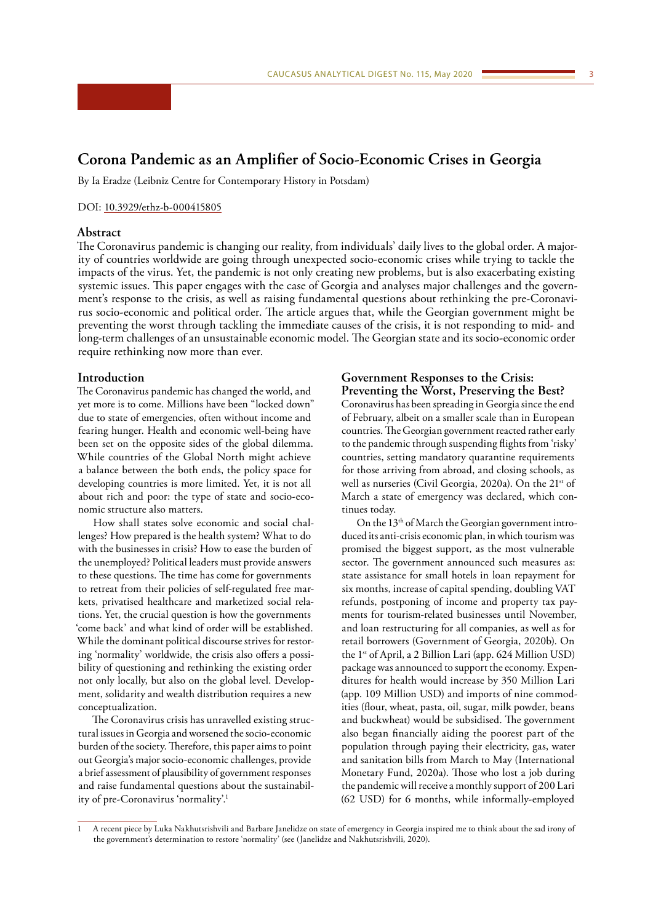# <span id="page-2-0"></span>**Corona Pandemic as an Amplifier of Socio-Economic Crises in Georgia**

By Ia Eradze (Leibniz Centre for Contemporary History in Potsdam)

#### DOI: [10.3929/ethz-b-000415805](http://doi.org/10.3929/ethz-b-000415805)

# **Abstract**

The Coronavirus pandemic is changing our reality, from individuals' daily lives to the global order. A majority of countries worldwide are going through unexpected socio-economic crises while trying to tackle the impacts of the virus. Yet, the pandemic is not only creating new problems, but is also exacerbating existing systemic issues. This paper engages with the case of Georgia and analyses major challenges and the government's response to the crisis, as well as raising fundamental questions about rethinking the pre-Coronavirus socio-economic and political order. The article argues that, while the Georgian government might be preventing the worst through tackling the immediate causes of the crisis, it is not responding to mid- and long-term challenges of an unsustainable economic model. The Georgian state and its socio-economic order require rethinking now more than ever.

### **Introduction**

The Coronavirus pandemic has changed the world, and yet more is to come. Millions have been "locked down" due to state of emergencies, often without income and fearing hunger. Health and economic well-being have been set on the opposite sides of the global dilemma. While countries of the Global North might achieve a balance between the both ends, the policy space for developing countries is more limited. Yet, it is not all about rich and poor: the type of state and socio-economic structure also matters.

How shall states solve economic and social challenges? How prepared is the health system? What to do with the businesses in crisis? How to ease the burden of the unemployed? Political leaders must provide answers to these questions. The time has come for governments to retreat from their policies of self-regulated free markets, privatised healthcare and marketized social relations. Yet, the crucial question is how the governments 'come back' and what kind of order will be established. While the dominant political discourse strives for restoring 'normality' worldwide, the crisis also offers a possibility of questioning and rethinking the existing order not only locally, but also on the global level. Development, solidarity and wealth distribution requires a new conceptualization.

The Coronavirus crisis has unravelled existing structural issues in Georgia and worsened the socio-economic burden of the society. Therefore, this paper aims to point out Georgia's major socio-economic challenges, provide a brief assessment of plausibility of government responses and raise fundamental questions about the sustainability of pre-Coronavirus 'normality'.1

# **Government Responses to the Crisis: Preventing the Worst, Preserving the Best?**

Coronavirus has been spreading in Georgia since the end of February, albeit on a smaller scale than in European countries. The Georgian government reacted rather early to the pandemic through suspending flights from 'risky' countries, setting mandatory quarantine requirements for those arriving from abroad, and closing schools, as well as nurseries (Civil Georgia, 2020a). On the 21<sup>st</sup> of March a state of emergency was declared, which continues today.

On the 13<sup>th</sup> of March the Georgian government introduced its anti-crisis economic plan, in which tourism was promised the biggest support, as the most vulnerable sector. The government announced such measures as: state assistance for small hotels in loan repayment for six months, increase of capital spending, doubling VAT refunds, postponing of income and property tax payments for tourism-related businesses until November, and loan restructuring for all companies, as well as for retail borrowers (Government of Georgia, 2020b). On the 1st of April, a 2 Billion Lari (app. 624 Million USD) package was announced to support the economy. Expenditures for health would increase by 350 Million Lari (app. 109 Million USD) and imports of nine commodities (flour, wheat, pasta, oil, sugar, milk powder, beans and buckwheat) would be subsidised. The government also began financially aiding the poorest part of the population through paying their electricity, gas, water and sanitation bills from March to May (International Monetary Fund, 2020a). Those who lost a job during the pandemic will receive a monthly support of 200 Lari (62 USD) for 6 months, while informally-employed

<sup>1</sup> A recent piece by Luka Nakhutsrishvili and Barbare Janelidze on state of emergency in Georgia inspired me to think about the sad irony of the government's determination to restore 'normality' (see (Janelidze and Nakhutsrishvili, 2020).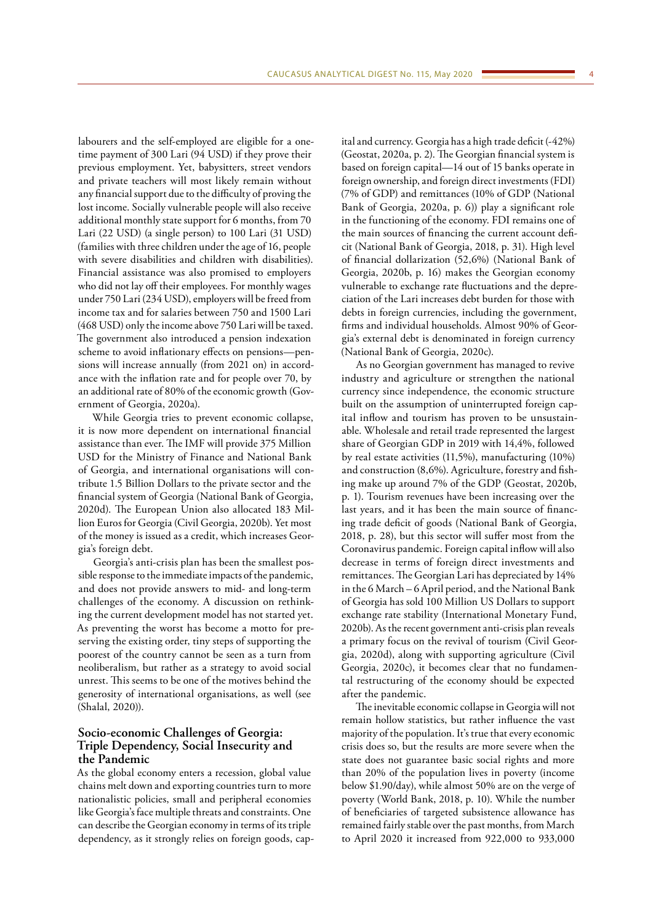labourers and the self-employed are eligible for a onetime payment of 300 Lari (94 USD) if they prove their previous employment. Yet, babysitters, street vendors and private teachers will most likely remain without any financial support due to the difficulty of proving the lost income. Socially vulnerable people will also receive additional monthly state support for 6 months, from 70 Lari (22 USD) (a single person) to 100 Lari (31 USD) (families with three children under the age of 16, people with severe disabilities and children with disabilities). Financial assistance was also promised to employers who did not lay off their employees. For monthly wages under 750 Lari (234 USD), employers will be freed from income tax and for salaries between 750 and 1500 Lari (468 USD) only the income above 750 Lari will be taxed. The government also introduced a pension indexation scheme to avoid inflationary effects on pensions—pensions will increase annually (from 2021 on) in accordance with the inflation rate and for people over 70, by an additional rate of 80% of the economic growth (Government of Georgia, 2020a).

While Georgia tries to prevent economic collapse, it is now more dependent on international financial assistance than ever. The IMF will provide 375 Million USD for the Ministry of Finance and National Bank of Georgia, and international organisations will contribute 1.5 Billion Dollars to the private sector and the financial system of Georgia (National Bank of Georgia, 2020d). The European Union also allocated 183 Million Euros for Georgia (Civil Georgia, 2020b). Yet most of the money is issued as a credit, which increases Georgia's foreign debt.

Georgia's anti-crisis plan has been the smallest possible response to the immediate impacts of the pandemic, and does not provide answers to mid- and long-term challenges of the economy. A discussion on rethinking the current development model has not started yet. As preventing the worst has become a motto for preserving the existing order, tiny steps of supporting the poorest of the country cannot be seen as a turn from neoliberalism, but rather as a strategy to avoid social unrest. This seems to be one of the motives behind the generosity of international organisations, as well (see (Shalal, 2020)).

# **Socio-economic Challenges of Georgia: Triple Dependency, Social Insecurity and the Pandemic**

As the global economy enters a recession, global value chains melt down and exporting countries turn to more nationalistic policies, small and peripheral economies like Georgia's face multiple threats and constraints. One can describe the Georgian economy in terms of its triple dependency, as it strongly relies on foreign goods, capital and currency. Georgia has a high trade deficit (-42%) (Geostat, 2020a, p. 2). The Georgian financial system is based on foreign capital—14 out of 15 banks operate in foreign ownership, and foreign direct investments (FDI) (7% of GDP) and remittances (10% of GDP (National Bank of Georgia, 2020a, p. 6)) play a significant role in the functioning of the economy. FDI remains one of the main sources of financing the current account deficit (National Bank of Georgia, 2018, p. 31). High level of financial dollarization (52,6%) (National Bank of Georgia, 2020b, p. 16) makes the Georgian economy vulnerable to exchange rate fluctuations and the depreciation of the Lari increases debt burden for those with debts in foreign currencies, including the government, firms and individual households. Almost 90% of Georgia's external debt is denominated in foreign currency (National Bank of Georgia, 2020c).

As no Georgian government has managed to revive industry and agriculture or strengthen the national currency since independence, the economic structure built on the assumption of uninterrupted foreign capital inflow and tourism has proven to be unsustainable. Wholesale and retail trade represented the largest share of Georgian GDP in 2019 with 14,4%, followed by real estate activities (11,5%), manufacturing (10%) and construction (8,6%). Agriculture, forestry and fishing make up around 7% of the GDP (Geostat, 2020b, p. 1). Tourism revenues have been increasing over the last years, and it has been the main source of financing trade deficit of goods (National Bank of Georgia, 2018, p. 28), but this sector will suffer most from the Coronavirus pandemic. Foreign capital inflow will also decrease in terms of foreign direct investments and remittances. The Georgian Lari has depreciated by 14% in the 6 March – 6 April period, and the National Bank of Georgia has sold 100 Million US Dollars to support exchange rate stability (International Monetary Fund, 2020b). As the recent government anti-crisis plan reveals a primary focus on the revival of tourism (Civil Georgia, 2020d), along with supporting agriculture (Civil Georgia, 2020c), it becomes clear that no fundamental restructuring of the economy should be expected after the pandemic.

The inevitable economic collapse in Georgia will not remain hollow statistics, but rather influence the vast majority of the population. It's true that every economic crisis does so, but the results are more severe when the state does not guarantee basic social rights and more than 20% of the population lives in poverty (income below \$1.90/day), while almost 50% are on the verge of poverty (World Bank, 2018, p. 10). While the number of beneficiaries of targeted subsistence allowance has remained fairly stable over the past months, from March to April 2020 it increased from 922,000 to 933,000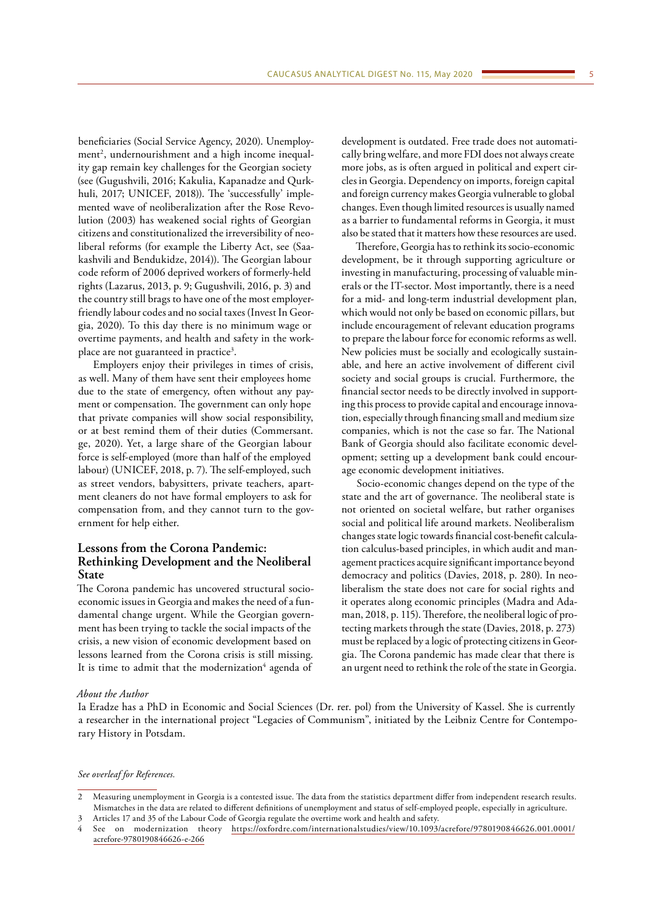beneficiaries (Social Service Agency, 2020). Unemployment<sup>2</sup>, undernourishment and a high income inequality gap remain key challenges for the Georgian society (see (Gugushvili, 2016; Kakulia, Kapanadze and Qurkhuli, 2017; UNICEF, 2018)). The 'successfully' implemented wave of neoliberalization after the Rose Revolution (2003) has weakened social rights of Georgian citizens and constitutionalized the irreversibility of neoliberal reforms (for example the Liberty Act, see (Saakashvili and Bendukidze, 2014)). The Georgian labour code reform of 2006 deprived workers of formerly-held rights (Lazarus, 2013, p. 9; Gugushvili, 2016, p. 3) and the country still brags to have one of the most employerfriendly labour codes and no social taxes (Invest In Georgia, 2020). To this day there is no minimum wage or overtime payments, and health and safety in the workplace are not guaranteed in practice<sup>3</sup>.

Employers enjoy their privileges in times of crisis, as well. Many of them have sent their employees home due to the state of emergency, often without any payment or compensation. The government can only hope that private companies will show social responsibility, or at best remind them of their duties (Commersant. ge, 2020). Yet, a large share of the Georgian labour force is self-employed (more than half of the employed labour) (UNICEF, 2018, p. 7). The self-employed, such as street vendors, babysitters, private teachers, apartment cleaners do not have formal employers to ask for compensation from, and they cannot turn to the government for help either.

# **Lessons from the Corona Pandemic: Rethinking Development and the Neoliberal State**

The Corona pandemic has uncovered structural socioeconomic issues in Georgia and makes the need of a fundamental change urgent. While the Georgian government has been trying to tackle the social impacts of the crisis, a new vision of economic development based on lessons learned from the Corona crisis is still missing. It is time to admit that the modernization<sup>4</sup> agenda of

development is outdated. Free trade does not automatically bring welfare, and more FDI does not always create more jobs, as is often argued in political and expert circles in Georgia. Dependency on imports, foreign capital and foreign currency makes Georgia vulnerable to global changes. Even though limited resources is usually named as a barrier to fundamental reforms in Georgia, it must also be stated that it matters how these resources are used.

Therefore, Georgia has to rethink its socio-economic development, be it through supporting agriculture or investing in manufacturing, processing of valuable minerals or the IT-sector. Most importantly, there is a need for a mid- and long-term industrial development plan, which would not only be based on economic pillars, but include encouragement of relevant education programs to prepare the labour force for economic reforms as well. New policies must be socially and ecologically sustainable, and here an active involvement of different civil society and social groups is crucial. Furthermore, the financial sector needs to be directly involved in supporting this process to provide capital and encourage innovation, especially through financing small and medium size companies, which is not the case so far. The National Bank of Georgia should also facilitate economic development; setting up a development bank could encourage economic development initiatives.

Socio-economic changes depend on the type of the state and the art of governance. The neoliberal state is not oriented on societal welfare, but rather organises social and political life around markets. Neoliberalism changes state logic towards financial cost-benefit calculation calculus-based principles, in which audit and management practices acquire significant importance beyond democracy and politics (Davies, 2018, p. 280). In neoliberalism the state does not care for social rights and it operates along economic principles (Madra and Adaman, 2018, p. 115). Therefore, the neoliberal logic of protecting markets through the state (Davies, 2018, p. 273) must be replaced by a logic of protecting citizens in Georgia. The Corona pandemic has made clear that there is an urgent need to rethink the role of the state in Georgia.

### *About the Author*

Ia Eradze has a PhD in Economic and Social Sciences (Dr. rer. pol) from the University of Kassel. She is currently a researcher in the international project "Legacies of Communism", initiated by the Leibniz Centre for Contemporary History in Potsdam.

#### *See overleaf for References.*

<sup>2</sup> Measuring unemployment in Georgia is a contested issue. The data from the statistics department differ from independent research results. Mismatches in the data are related to different definitions of unemployment and status of self-employed people, especially in agriculture.

<sup>3</sup> Articles 17 and 35 of the [Labour Code of Georgia](https://matsne.gov.ge/en/document/view/1155567?publication=12) regulate the overtime work and health and safety.

<sup>4</sup> See on modernization theory [https://oxfordre.com/internationalstudies/view/10.1093/acrefore/9780190846626.001.0001/](https://oxfordre.com/internationalstudies/view/10.1093/acrefore/9780190846626.001.0001/acrefore-9780190846626-e-266) [acrefore-9780190846626-e-266](https://oxfordre.com/internationalstudies/view/10.1093/acrefore/9780190846626.001.0001/acrefore-9780190846626-e-266)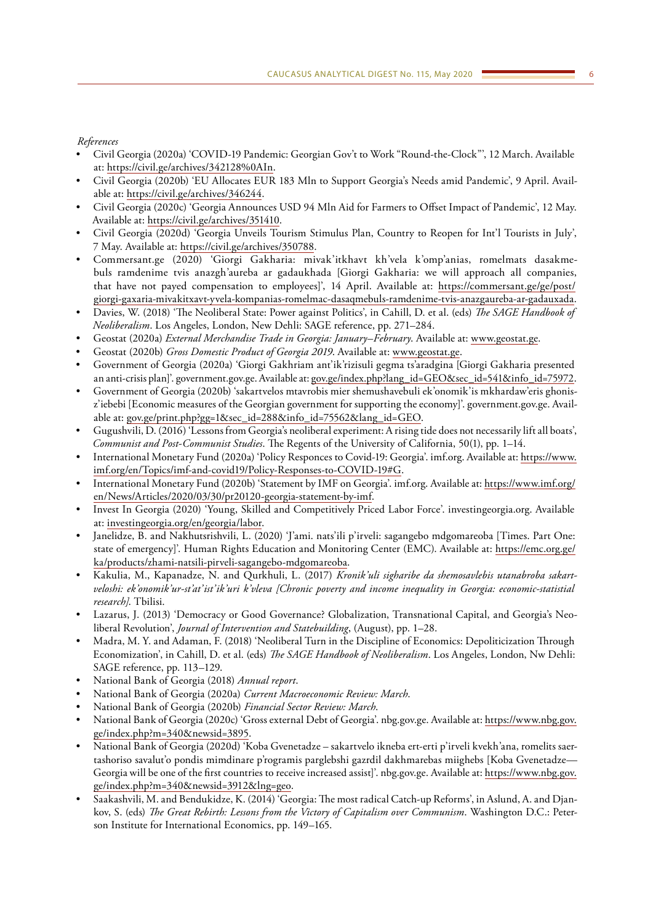# *References*

- Civil Georgia (2020a) 'COVID-19 Pandemic: Georgian Gov't to Work "Round-the-Clock"', 12 March. Available at: [https://civil.ge/archives/342128%0AIn.](https://civil.ge/archives/342128%0AIn)
- Civil Georgia (2020b) 'EU Allocates EUR 183 Mln to Support Georgia's Needs amid Pandemic', 9 April. Available at: [https://civil.ge/archives/346244.](https://civil.ge/archives/346244)
- Civil Georgia (2020c) 'Georgia Announces USD 94 Mln Aid for Farmers to Offset Impact of Pandemic', 12 May. Available at: [https://civil.ge/archives/351410.](https://civil.ge/archives/351410)
- Civil Georgia (2020d) 'Georgia Unveils Tourism Stimulus Plan, Country to Reopen for Int'l Tourists in July', 7 May. Available at: [https://civil.ge/archives/350788.](https://civil.ge/archives/350788)
- Commersant.ge (2020) 'Giorgi Gakharia: mivak'itkhavt kh'vela k'omp'anias, romelmats dasakmebuls ramdenime tvis anazgh'aureba ar gadaukhada [Giorgi Gakharia: we will approach all companies, that have not payed compensation to employees]', 14 April. Available at: [https://commersant.ge/ge/post/](https://commersant.ge/ge/post/giorgi-gaxaria-mivakitxavt-yvela-kompanias-romelmac-dasaqmebuls-ramdenime-tvis-anazgaureba-ar-gadauxada) [giorgi-gaxaria-mivakitxavt-yvela-kompanias-romelmac-dasaqmebuls-ramdenime-tvis-anazgaureba-ar-gadauxada](https://commersant.ge/ge/post/giorgi-gaxaria-mivakitxavt-yvela-kompanias-romelmac-dasaqmebuls-ramdenime-tvis-anazgaureba-ar-gadauxada).
- Davies, W. (2018) 'The Neoliberal State: Power against Politics', in Cahill, D. et al. (eds) *The SAGE Handbook of Neoliberalism*. Los Angeles, London, New Dehli: SAGE reference, pp. 271–284.
- Geostat (2020a) *External Merchandise Trade in Georgia: January–February*. Available at: [www.geostat.ge.](http://www.geostat.ge)
- Geostat (2020b) *Gross Domestic Product of Georgia 2019*. Available at: [www.geostat.ge](http://www.geostat.ge).
- Government of Georgia (2020a) 'Giorgi Gakhriam ant'ik'rizisuli gegma ts'aradgina [Giorgi Gakharia presented an anti-crisis plan]'. government.gov.ge. Available at: [gov.ge/index.php?lang\\_id=GEO&sec\\_id=541&info\\_id=75972](http://gov.ge/index.php?lang_id=GEO&sec_id=541&info_id=75972).
- Government of Georgia (2020b) 'sakartvelos mtavrobis mier shemushavebuli ek'onomik'is mkhardaw'eris ghonisz'iebebi [Economic measures of the Georgian government for supporting the economy]'. government.gov.ge. Available at: [gov.ge/print.php?gg=1&sec\\_id=288&info\\_id=75562&lang\\_id=GEO.](http://gov.ge/print.php?gg=1&sec_id=288&info_id=75562&lang_id=GEO)
- Gugushvili, D. (2016) 'Lessons from Georgia's neoliberal experiment: A rising tide does not necessarily lift all boats', *Communist and Post-Communist Studies*. The Regents of the University of California, 50(1), pp. 1–14.
- International Monetary Fund (2020a) 'Policy Responces to Covid-19: Georgia'. imf.org. Available at: [https://www.](https://www.imf.org/en/Topics/imf-and-covid19/Policy-Responses-to-COVID-19#G/) [imf.org/en/Topics/imf-and-covid19/Policy-Responses-to-COVID-19#G](https://www.imf.org/en/Topics/imf-and-covid19/Policy-Responses-to-COVID-19#G/).
- International Monetary Fund (2020b) 'Statement by IMF on Georgia'. imf.org. Available at: [https://www.imf.org/](https://www.imf.org/en/News/Articles/2020/03/30/pr20120-georgia-statement-by-imf) [en/News/Articles/2020/03/30/pr20120-georgia-statement-by-imf.](https://www.imf.org/en/News/Articles/2020/03/30/pr20120-georgia-statement-by-imf)
- Invest In Georgia (2020) 'Young, Skilled and Competitively Priced Labor Force'. investingeorgia.org. Available at: [investingeorgia.org/en/georgia/labor.](http://investingeorgia.org/en/georgia/labor)
- Janelidze, B. and Nakhutsrishvili, L. (2020) 'J'ami. nats'ili p'irveli: sagangebo mdgomareoba [Times. Part One: state of emergency]'. Human Rights Education and Monitoring Center (EMC). Available at: [https://emc.org.ge/](https://emc.org.ge/ka/products/zhami-natsili-pirveli-sagangebo-mdgomareoba) [ka/products/zhami-natsili-pirveli-sagangebo-mdgomareoba.](https://emc.org.ge/ka/products/zhami-natsili-pirveli-sagangebo-mdgomareoba)
- Kakulia, M., Kapanadze, N. and Qurkhuli, L. (2017) *Kronik'uli sigharibe da shemosavlebis utanabroba sakartveloshi: ek'onomik'ur-st'at'ist'ik'uri k'vleva [Chronic poverty and income inequality in Georgia: economic-statistial research]*. Tbilisi.
- Lazarus, J. (2013) 'Democracy or Good Governance? Globalization, Transnational Capital, and Georgia's Neoliberal Revolution', *Journal of Intervention and Statebuilding*, (August), pp. 1–28.
- Madra, M. Y. and Adaman, F. (2018) 'Neoliberal Turn in the Discipline of Economics: Depoliticization Through Economization', in Cahill, D. et al. (eds) *The SAGE Handbook of Neoliberalism*. Los Angeles, London, Nw Dehli: SAGE reference, pp. 113–129.
- National Bank of Georgia (2018) *Annual report*.
- National Bank of Georgia (2020a) *Current Macroeconomic Review: March*.
- National Bank of Georgia (2020b) *Financial Sector Review: March*.
- National Bank of Georgia (2020c) 'Gross external Debt of Georgia'. nbg.gov.ge. Available at: [https://www.nbg.gov.](https://www.nbg.gov.ge/index.php?m=340&newsid=3895) [ge/index.php?m=340&newsid=3895.](https://www.nbg.gov.ge/index.php?m=340&newsid=3895)
- National Bank of Georgia (2020d) 'Koba Gvenetadze sakartvelo ikneba ert-erti p'irveli kvekh'ana, romelits saertashoriso savalut'o pondis mimdinare p'rogramis parglebshi gazrdil dakhmarebas miighebs [Koba Gvenetadze— Georgia will be one of the first countries to receive increased assist]'. nbg.gov.ge. Available at: [https://www.nbg.gov.](https://www.nbg.gov.ge/index.php?m=340&newsid=3912&lng=geo) [ge/index.php?m=340&newsid=3912&lng=geo](https://www.nbg.gov.ge/index.php?m=340&newsid=3912&lng=geo).
- Saakashvili, M. and Bendukidze, K. (2014) 'Georgia: The most radical Catch-up Reforms', in Aslund, A. and Djankov, S. (eds) *The Great Rebirth: Lessons from the Victory of Capitalism over Communism*. Washington D.C.: Peterson Institute for International Economics, pp. 149–165.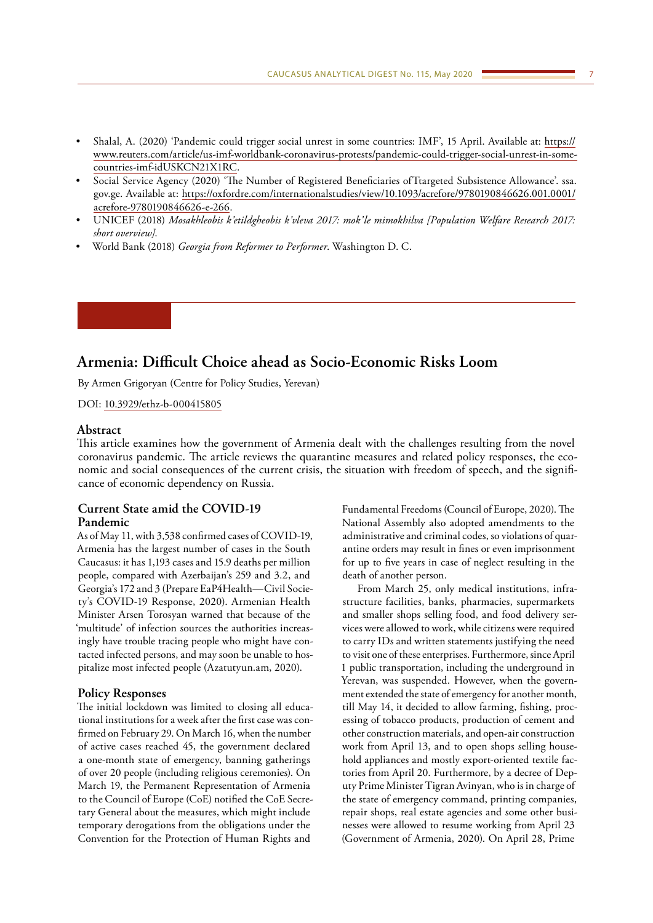- <span id="page-6-0"></span>• Shalal, A. (2020) 'Pandemic could trigger social unrest in some countries: IMF', 15 April. Available at: [https://](https://www.reuters.com/article/us-imf-worldbank-coronavirus-protests/pandemic-could-trigger-social-unrest-in-some-countries-imf-idUSKCN21X1RC) [www.reuters.com/article/us-imf-worldbank-coronavirus-protests/pandemic-could-trigger-social-unrest-in-some](https://www.reuters.com/article/us-imf-worldbank-coronavirus-protests/pandemic-could-trigger-social-unrest-in-some-countries-imf-idUSKCN21X1RC)[countries-imf-idUSKCN21X1RC](https://www.reuters.com/article/us-imf-worldbank-coronavirus-protests/pandemic-could-trigger-social-unrest-in-some-countries-imf-idUSKCN21X1RC).
- Social Service Agency (2020) 'The Number of Registered Beneficiaries ofTtargeted Subsistence Allowance'. ssa. gov.ge. Available at: [https://oxfordre.com/internationalstudies/view/10.1093/acrefore/9780190846626.001.0001/](https://oxfordre.com/internationalstudies/view/10.1093/acrefore/9780190846626.001.0001/acrefore-9780190846626-e-266) [acrefore-9780190846626-e-266.](https://oxfordre.com/internationalstudies/view/10.1093/acrefore/9780190846626.001.0001/acrefore-9780190846626-e-266)
- UNICEF (2018) *Mosakhleobis k'etildgheobis k'vleva 2017: mok'le mimokhilva [Population Welfare Research 2017: short overview]*.
- World Bank (2018) *Georgia from Reformer to Performer*. Washington D. C.

# **Armenia: Difficult Choice ahead as Socio-Economic Risks Loom**

By Armen Grigoryan (Centre for Policy Studies, Yerevan)

DOI: [10.3929/ethz-b-000415805](http://doi.org/10.3929/ethz-b-000415805)

# **Abstract**

This article examines how the government of Armenia dealt with the challenges resulting from the novel coronavirus pandemic. The article reviews the quarantine measures and related policy responses, the economic and social consequences of the current crisis, the situation with freedom of speech, and the significance of economic dependency on Russia.

# **Current State amid the COVID-19 Pandemic**

As of May 11, with 3,538 confirmed cases of COVID-19, Armenia has the largest number of cases in the South Caucasus: it has 1,193 cases and 15.9 deaths per million people, compared with Azerbaijan's 259 and 3.2, and Georgia's 172 and 3 (Prepare EaP4Health—Civil Society's COVID-19 Response, 2020). Armenian Health Minister Arsen Torosyan warned that because of the 'multitude' of infection sources the authorities increasingly have trouble tracing people who might have contacted infected persons, and may soon be unable to hospitalize most infected people (Azatutyun.am, 2020).

### **Policy Responses**

The initial lockdown was limited to closing all educational institutions for a week after the first case was confirmed on February 29. On March 16, when the number of active cases reached 45, the government declared a one-month state of emergency, banning gatherings of over 20 people (including religious ceremonies). On March 19, the Permanent Representation of Armenia to the Council of Europe (CoE) notified the CoE Secretary General about the measures, which might include temporary derogations from the obligations under the Convention for the Protection of Human Rights and

Fundamental Freedoms (Council of Europe, 2020). The National Assembly also adopted amendments to the administrative and criminal codes, so violations of quarantine orders may result in fines or even imprisonment for up to five years in case of neglect resulting in the death of another person.

From March 25, only medical institutions, infrastructure facilities, banks, pharmacies, supermarkets and smaller shops selling food, and food delivery services were allowed to work, while citizens were required to carry IDs and written statements justifying the need to visit one of these enterprises. Furthermore, since April 1 public transportation, including the underground in Yerevan, was suspended. However, when the government extended the state of emergency for another month, till May 14, it decided to allow farming, fishing, processing of tobacco products, production of cement and other construction materials, and open-air construction work from April 13, and to open shops selling household appliances and mostly export-oriented textile factories from April 20. Furthermore, by a decree of Deputy Prime Minister Tigran Avinyan, who is in charge of the state of emergency command, printing companies, repair shops, real estate agencies and some other businesses were allowed to resume working from April 23 (Government of Armenia, 2020). On April 28, Prime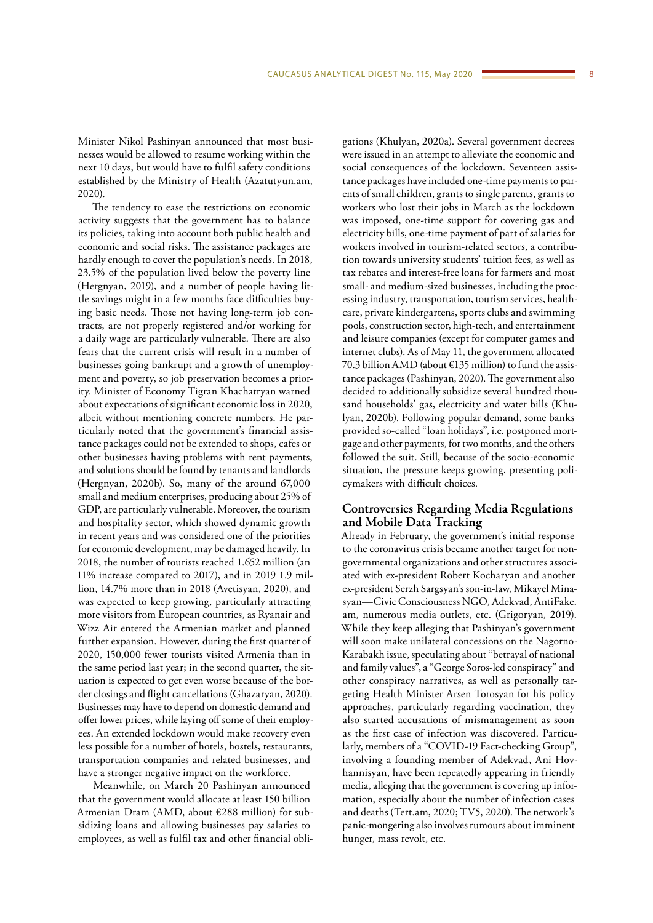Minister Nikol Pashinyan announced that most businesses would be allowed to resume working within the next 10 days, but would have to fulfil safety conditions established by the Ministry of Health (Azatutyun.am, 2020).

The tendency to ease the restrictions on economic activity suggests that the government has to balance its policies, taking into account both public health and economic and social risks. The assistance packages are hardly enough to cover the population's needs. In 2018, 23.5% of the population lived below the poverty line (Hergnyan, 2019), and a number of people having little savings might in a few months face difficulties buying basic needs. Those not having long-term job contracts, are not properly registered and/or working for a daily wage are particularly vulnerable. There are also fears that the current crisis will result in a number of businesses going bankrupt and a growth of unemployment and poverty, so job preservation becomes a priority. Minister of Economy Tigran Khachatryan warned about expectations of significant economic loss in 2020, albeit without mentioning concrete numbers. He particularly noted that the government's financial assistance packages could not be extended to shops, cafes or other businesses having problems with rent payments, and solutions should be found by tenants and landlords (Hergnyan, 2020b). So, many of the around 67,000 small and medium enterprises, producing about 25% of GDP, are particularly vulnerable. Moreover, the tourism and hospitality sector, which showed dynamic growth in recent years and was considered one of the priorities for economic development, may be damaged heavily. In 2018, the number of tourists reached 1.652 million (an 11% increase compared to 2017), and in 2019 1.9 million, 14.7% more than in 2018 (Avetisyan, 2020), and was expected to keep growing, particularly attracting more visitors from European countries, as Ryanair and Wizz Air entered the Armenian market and planned further expansion. However, during the first quarter of 2020, 150,000 fewer tourists visited Armenia than in the same period last year; in the second quarter, the situation is expected to get even worse because of the border closings and flight cancellations (Ghazaryan, 2020). Businesses may have to depend on domestic demand and offer lower prices, while laying off some of their employees. An extended lockdown would make recovery even less possible for a number of hotels, hostels, restaurants, transportation companies and related businesses, and have a stronger negative impact on the workforce.

Meanwhile, on March 20 Pashinyan announced that the government would allocate at least 150 billion Armenian Dram (AMD, about €288 million) for subsidizing loans and allowing businesses pay salaries to employees, as well as fulfil tax and other financial obli-

gations (Khulyan, 2020a). Several government decrees were issued in an attempt to alleviate the economic and social consequences of the lockdown. Seventeen assistance packages have included one-time payments to parents of small children, grants to single parents, grants to workers who lost their jobs in March as the lockdown was imposed, one-time support for covering gas and electricity bills, one-time payment of part of salaries for workers involved in tourism-related sectors, a contribution towards university students' tuition fees, as well as tax rebates and interest-free loans for farmers and most small- and medium-sized businesses, including the processing industry, transportation, tourism services, healthcare, private kindergartens, sports clubs and swimming pools, construction sector, high-tech, and entertainment and leisure companies (except for computer games and internet clubs). As of May 11, the government allocated 70.3 billion AMD (about €135 million) to fund the assistance packages (Pashinyan, 2020). The government also decided to additionally subsidize several hundred thousand households' gas, electricity and water bills (Khulyan, 2020b). Following popular demand, some banks provided so-called "loan holidays", i.e. postponed mortgage and other payments, for two months, and the others followed the suit. Still, because of the socio-economic situation, the pressure keeps growing, presenting policymakers with difficult choices.

# **Controversies Regarding Media Regulations and Mobile Data Tracking**

Already in February, the government's initial response to the coronavirus crisis became another target for nongovernmental organizations and other structures associated with ex-president Robert Kocharyan and another ex-president Serzh Sargsyan's son-in-law, Mikayel Minasyan—Civic Consciousness NGO, Adekvad, AntiFake. am, numerous media outlets, etc. (Grigoryan, 2019). While they keep alleging that Pashinyan's government will soon make unilateral concessions on the Nagorno-Karabakh issue, speculating about "betrayal of national and family values", a "George Soros-led conspiracy" and other conspiracy narratives, as well as personally targeting Health Minister Arsen Torosyan for his policy approaches, particularly regarding vaccination, they also started accusations of mismanagement as soon as the first case of infection was discovered. Particularly, members of a "COVID-19 Fact-checking Group", involving a founding member of Adekvad, Ani Hovhannisyan, have been repeatedly appearing in friendly media, alleging that the government is covering up information, especially about the number of infection cases and deaths (Tert.am, 2020; TV5, 2020). The network's panic-mongering also involves rumours about imminent hunger, mass revolt, etc.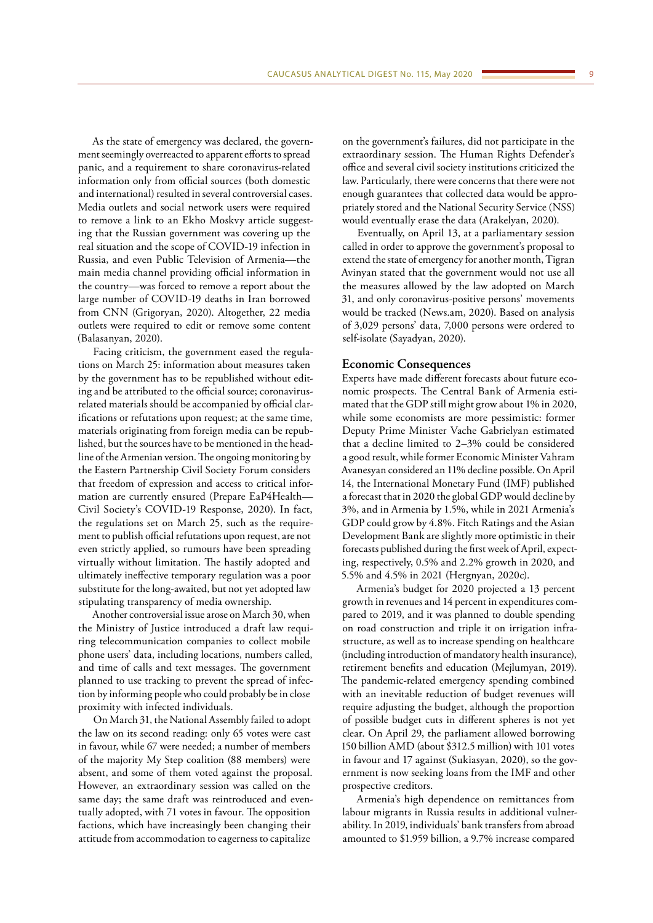As the state of emergency was declared, the government seemingly overreacted to apparent efforts to spread panic, and a requirement to share coronavirus-related information only from official sources (both domestic and international) resulted in several controversial cases. Media outlets and social network users were required to remove a link to an Ekho Moskvy article suggesting that the Russian government was covering up the real situation and the scope of COVID-19 infection in Russia, and even Public Television of Armenia—the main media channel providing official information in the country—was forced to remove a report about the large number of COVID-19 deaths in Iran borrowed from CNN (Grigoryan, 2020). Altogether, 22 media outlets were required to edit or remove some content (Balasanyan, 2020).

Facing criticism, the government eased the regulations on March 25: information about measures taken by the government has to be republished without editing and be attributed to the official source; coronavirusrelated materials should be accompanied by official clarifications or refutations upon request; at the same time, materials originating from foreign media can be republished, but the sources have to be mentioned in the headline of the Armenian version. The ongoing monitoring by the Eastern Partnership Civil Society Forum considers that freedom of expression and access to critical information are currently ensured (Prepare EaP4Health— Civil Society's COVID-19 Response, 2020). In fact, the regulations set on March 25, such as the requirement to publish official refutations upon request, are not even strictly applied, so rumours have been spreading virtually without limitation. The hastily adopted and ultimately ineffective temporary regulation was a poor substitute for the long-awaited, but not yet adopted law stipulating transparency of media ownership.

Another controversial issue arose on March 30, when the Ministry of Justice introduced a draft law requiring telecommunication companies to collect mobile phone users' data, including locations, numbers called, and time of calls and text messages. The government planned to use tracking to prevent the spread of infection by informing people who could probably be in close proximity with infected individuals.

On March 31, the National Assembly failed to adopt the law on its second reading: only 65 votes were cast in favour, while 67 were needed; a number of members of the majority My Step coalition (88 members) were absent, and some of them voted against the proposal. However, an extraordinary session was called on the same day; the same draft was reintroduced and eventually adopted, with 71 votes in favour. The opposition factions, which have increasingly been changing their attitude from accommodation to eagerness to capitalize

on the government's failures, did not participate in the extraordinary session. The Human Rights Defender's office and several civil society institutions criticized the law. Particularly, there were concerns that there were not enough guarantees that collected data would be appropriately stored and the National Security Service (NSS) would eventually erase the data (Arakelyan, 2020).

Eventually, on April 13, at a parliamentary session called in order to approve the government's proposal to extend the state of emergency for another month, Tigran Avinyan stated that the government would not use all the measures allowed by the law adopted on March 31, and only coronavirus-positive persons' movements would be tracked (News.am, 2020). Based on analysis of 3,029 persons' data, 7,000 persons were ordered to self-isolate (Sayadyan, 2020).

### **Economic Consequences**

Experts have made different forecasts about future economic prospects. The Central Bank of Armenia estimated that the GDP still might grow about 1% in 2020, while some economists are more pessimistic: former Deputy Prime Minister Vache Gabrielyan estimated that a decline limited to 2–3% could be considered a good result, while former Economic Minister Vahram Avanesyan considered an 11% decline possible. On April 14, the International Monetary Fund (IMF) published a forecast that in 2020 the global GDP would decline by 3%, and in Armenia by 1.5%, while in 2021 Armenia's GDP could grow by 4.8%. Fitch Ratings and the Asian Development Bank are slightly more optimistic in their forecasts published during the first week of April, expecting, respectively, 0.5% and 2.2% growth in 2020, and 5.5% and 4.5% in 2021 (Hergnyan, 2020c).

Armenia's budget for 2020 projected a 13 percent growth in revenues and 14 percent in expenditures compared to 2019, and it was planned to double spending on road construction and triple it on irrigation infrastructure, as well as to increase spending on healthcare (including introduction of mandatory health insurance), retirement benefits and education (Mejlumyan, 2019). The pandemic-related emergency spending combined with an inevitable reduction of budget revenues will require adjusting the budget, although the proportion of possible budget cuts in different spheres is not yet clear. On April 29, the parliament allowed borrowing 150 billion AMD (about \$312.5 million) with 101 votes in favour and 17 against (Sukiasyan, 2020), so the government is now seeking loans from the IMF and other prospective creditors.

Armenia's high dependence on remittances from labour migrants in Russia results in additional vulnerability. In 2019, individuals' bank transfers from abroad amounted to \$1.959 billion, a 9.7% increase compared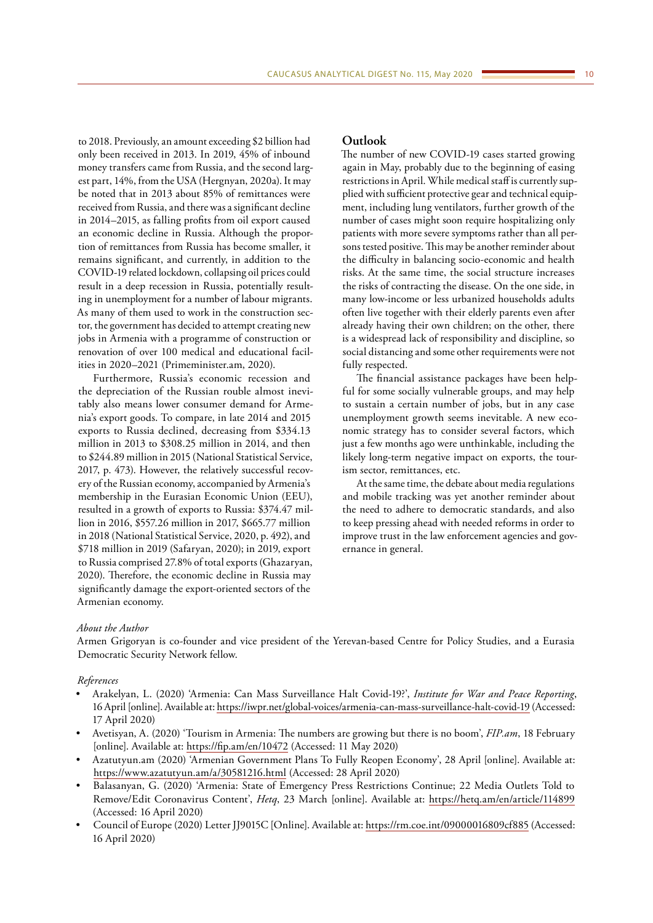to 2018. Previously, an amount exceeding \$2 billion had only been received in 2013. In 2019, 45% of inbound money transfers came from Russia, and the second largest part, 14%, from the USA (Hergnyan, 2020a). It may be noted that in 2013 about 85% of remittances were received from Russia, and there was a significant decline in 2014–2015, as falling profits from oil export caused an economic decline in Russia. Although the proportion of remittances from Russia has become smaller, it remains significant, and currently, in addition to the COVID-19 related lockdown, collapsing oil prices could result in a deep recession in Russia, potentially resulting in unemployment for a number of labour migrants. As many of them used to work in the construction sector, the government has decided to attempt creating new jobs in Armenia with a programme of construction or renovation of over 100 medical and educational facilities in 2020–2021 (Primeminister.am, 2020).

Furthermore, Russia's economic recession and the depreciation of the Russian rouble almost inevitably also means lower consumer demand for Armenia's export goods. To compare, in late 2014 and 2015 exports to Russia declined, decreasing from \$334.13 million in 2013 to \$308.25 million in 2014, and then to \$244.89 million in 2015 (National Statistical Service, 2017, p. 473). However, the relatively successful recovery of the Russian economy, accompanied by Armenia's membership in the Eurasian Economic Union (EEU), resulted in a growth of exports to Russia: \$374.47 million in 2016, \$557.26 million in 2017, \$665.77 million in 2018 (National Statistical Service, 2020, p. 492), and \$718 million in 2019 (Safaryan, 2020); in 2019, export to Russia comprised 27.8% of total exports (Ghazaryan, 2020). Therefore, the economic decline in Russia may significantly damage the export-oriented sectors of the Armenian economy.

### **Outlook**

The number of new COVID-19 cases started growing again in May, probably due to the beginning of easing restrictions in April. While medical staff is currently supplied with sufficient protective gear and technical equipment, including lung ventilators, further growth of the number of cases might soon require hospitalizing only patients with more severe symptoms rather than all persons tested positive. This may be another reminder about the difficulty in balancing socio-economic and health risks. At the same time, the social structure increases the risks of contracting the disease. On the one side, in many low-income or less urbanized households adults often live together with their elderly parents even after already having their own children; on the other, there is a widespread lack of responsibility and discipline, so social distancing and some other requirements were not fully respected.

The financial assistance packages have been helpful for some socially vulnerable groups, and may help to sustain a certain number of jobs, but in any case unemployment growth seems inevitable. A new economic strategy has to consider several factors, which just a few months ago were unthinkable, including the likely long-term negative impact on exports, the tourism sector, remittances, etc.

At the same time, the debate about media regulations and mobile tracking was yet another reminder about the need to adhere to democratic standards, and also to keep pressing ahead with needed reforms in order to improve trust in the law enforcement agencies and governance in general.

#### *About the Author*

Armen Grigoryan is co-founder and vice president of the Yerevan-based Centre for Policy Studies, and a Eurasia Democratic Security Network fellow.

#### *References*

- Arakelyan, L. (2020) 'Armenia: Can Mass Surveillance Halt Covid-19?', *Institute for War and Peace Reporting*, 16 April [online]. Available at:<https://iwpr.net/global-voices/armenia-can-mass-surveillance-halt-covid-19> (Accessed: 17 April 2020)
- Avetisyan, A. (2020) 'Tourism in Armenia: The numbers are growing but there is no boom', *FIP.am*, 18 February [online]. Available at:<https://fip.am/en/10472>(Accessed: 11 May 2020)
- Azatutyun.am (2020) 'Armenian Government Plans To Fully Reopen Economy', 28 April [online]. Available at: <https://www.azatutyun.am/a/30581216.html> (Accessed: 28 April 2020)
- Balasanyan, G. (2020) 'Armenia: State of Emergency Press Restrictions Continue; 22 Media Outlets Told to Remove/Edit Coronavirus Content', *Hetq*, 23 March [online]. Available at: <https://hetq.am/en/article/114899> (Accessed: 16 April 2020)
- Council of Europe (2020) Letter JJ9015C [Online]. Available at:<https://rm.coe.int/09000016809cf885> (Accessed: 16 April 2020)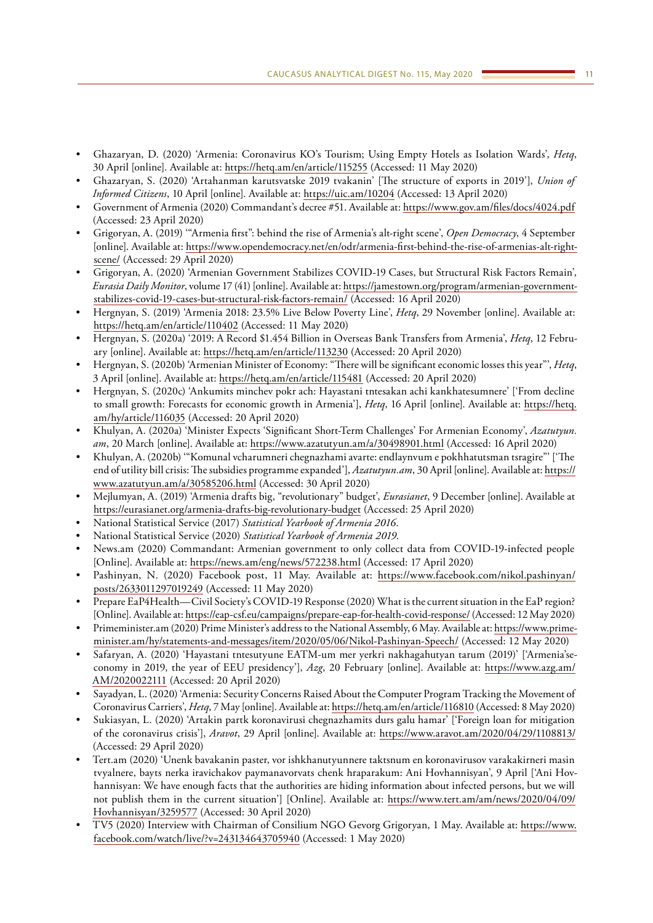- Ghazaryan, D. (2020) 'Armenia: Coronavirus KO's Tourism; Using Empty Hotels as Isolation Wards', *Hetq*, 30 April [online]. Available at:<https://hetq.am/en/article/115255> (Accessed: 11 May 2020)
- Ghazaryan, S. (2020) 'Artahanman karutsvatske 2019 tvakanin' [The structure of exports in 2019'], *Union of Informed Citizens*, 10 April [online]. Available at: <https://uic.am/10204>(Accessed: 13 April 2020)
- Government of Armenia (2020) Commandant's decree #51. Available at:<https://www.gov.am/files/docs/4024.pdf> (Accessed: 23 April 2020)
- Grigoryan, A. (2019) '"Armenia first": behind the rise of Armenia's alt-right scene', *Open Democracy*, 4 September [online]. Available at: [https://www.opendemocracy.net/en/odr/armenia-first-behind-the-rise-of-armenias-alt-right](https://www.opendemocracy.net/en/odr/armenia-first-behind-the-rise-of-armenias-alt-right-scene/)[scene/](https://www.opendemocracy.net/en/odr/armenia-first-behind-the-rise-of-armenias-alt-right-scene/) (Accessed: 29 April 2020)
- Grigoryan, A. (2020) 'Armenian Government Stabilizes COVID-19 Cases, but Structural Risk Factors Remain', *Eurasia Daily Monitor*, volume 17 (41) [online]. Available at: [https://jamestown.org/program/armenian-government](https://jamestown.org/program/armenian-government-stabilizes-covid-19-cases-but-structural-risk-factors-remain/)[stabilizes-covid-19-cases-but-structural-risk-factors-remain/](https://jamestown.org/program/armenian-government-stabilizes-covid-19-cases-but-structural-risk-factors-remain/) (Accessed: 16 April 2020)
- Hergnyan, S. (2019) 'Armenia 2018: 23.5% Live Below Poverty Line', *Hetq*, 29 November [online]. Available at: <https://hetq.am/en/article/110402> (Accessed: 11 May 2020)
- Hergnyan, S. (2020a) '2019: A Record \$1.454 Billion in Overseas Bank Transfers from Armenia', *Hetq*, 12 February [online]. Available at: <https://hetq.am/en/article/113230> (Accessed: 20 April 2020)
- Hergnyan, S. (2020b) 'Armenian Minister of Economy: "There will be significant economic losses this year"', *Hetq*, 3 April [online]. Available at: <https://hetq.am/en/article/115481>(Accessed: 20 April 2020)
- Hergnyan, S. (2020c) 'Ankumits minchev pokr ach: Hayastani tntesakan achi kankhatesumnere' ['From decline to small growth: Forecasts for economic growth in Armenia'], *Hetq*, 16 April [online]. Available at: [https://hetq.](https://hetq.am/hy/article/116035) [am/hy/article/116035](https://hetq.am/hy/article/116035) (Accessed: 20 April 2020)
- Khulyan, A. (2020a) 'Minister Expects 'Significant Short-Term Challenges' For Armenian Economy', *Azatutyun. am*, 20 March [online]. Available at:<https://www.azatutyun.am/a/30498901.html>(Accessed: 16 April 2020)
- Khulyan, A. (2020b) '"Komunal vcharumneri chegnazhami avarte: endlaynvum e pokhhatutsman tsragire"' ['The end of utility bill crisis: The subsidies programme expanded'], *Azatutyun.am*, 30 April [online]. Available at: [https://](https://www.azatutyun.am/a/30585206.html) [www.azatutyun.am/a/30585206.html](https://www.azatutyun.am/a/30585206.html) (Accessed: 30 April 2020)
- Mejlumyan, A. (2019) 'Armenia drafts big, "revolutionary" budget', *Eurasianet*, 9 December [online]. Available at <https://eurasianet.org/armenia-drafts-big-revolutionary-budget> (Accessed: 25 April 2020)
- National Statistical Service (2017) *Statistical Yearbook of Armenia 2016*.
- National Statistical Service (2020) *Statistical Yearbook of Armenia 2019*.
- News.am (2020) Commandant: Armenian government to only collect data from COVID-19-infected people [Online]. Available at:<https://news.am/eng/news/572238.html>(Accessed: 17 April 2020)
- Pashinyan, N. (2020) Facebook post, 11 May. Available at: [https://www.facebook.com/nikol.pashinyan/](https://www.facebook.com/nikol.pashinyan/posts/2633011297019249) [posts/2633011297019249](https://www.facebook.com/nikol.pashinyan/posts/2633011297019249) (Accessed: 11 May 2020)
- Prepare EaP4Health—Civil Society's COVID-19 Response (2020) What is the current situation in the EaP region? [Online]. Available at:<https://eap-csf.eu/campaigns/prepare-eap-for-health-covid-response/>(Accessed: 12 May 2020)
- Primeminister.am (2020) Prime Minister's address to the National Assembly, 6 May. Available at: [https://www.prime](https://www.primeminister.am/hy/statements-and-messages/item/2020/05/06/Nikol-Pashinyan-Speech/)[minister.am/hy/statements-and-messages/item/2020/05/06/Nikol-Pashinyan-Speech/](https://www.primeminister.am/hy/statements-and-messages/item/2020/05/06/Nikol-Pashinyan-Speech/) (Accessed: 12 May 2020)
- Safaryan, A. (2020) 'Hayastani tntesutyune EATM-um mer yerkri nakhagahutyan tarum (2019)' ['Armenia'seconomy in 2019, the year of EEU presidency'], *Azg*, 20 February [online]. Available at: [https://www.azg.am/](https://www.azg.am/AM/2020022111) [AM/2020022111](https://www.azg.am/AM/2020022111) (Accessed: 20 April 2020)
- Sayadyan, L. (2020) 'Armenia: Security Concerns Raised About the Computer Program Tracking the Movement of Coronavirus Carriers', *Hetq*, 7 May [online]. Available at:<https://hetq.am/en/article/116810> (Accessed: 8 May 2020)
- Sukiasyan, L. (2020) 'Artakin partk koronavirusi chegnazhamits durs galu hamar' ['Foreign loan for mitigation of the coronavirus crisis'], *Aravot*, 29 April [online]. Available at: <https://www.aravot.am/2020/04/29/1108813/> (Accessed: 29 April 2020)
- Tert.am (2020) 'Unenk bavakanin paster, vor ishkhanutyunnere taktsnum en koronavirusov varakakirneri masin tvyalnere, bayts nerka iravichakov paymanavorvats chenk hraparakum: Ani Hovhannisyan', 9 April ['Ani Hovhannisyan: We have enough facts that the authorities are hiding information about infected persons, but we will not publish them in the current situation'] [Online]. Available at: [https://www.tert.am/am/news/2020/04/09/](https://www.tert.am/am/news/2020/04/09/Hovhannisyan/3259577) [Hovhannisyan/3259577](https://www.tert.am/am/news/2020/04/09/Hovhannisyan/3259577) (Accessed: 30 April 2020)
- TV5 (2020) Interview with Chairman of Consilium NGO Gevorg Grigoryan, 1 May. Available at: [https://www.](https://www.facebook.com/watch/live/?v=243134643705940) [facebook.com/watch/live/?v=243134643705940](https://www.facebook.com/watch/live/?v=243134643705940) (Accessed: 1 May 2020)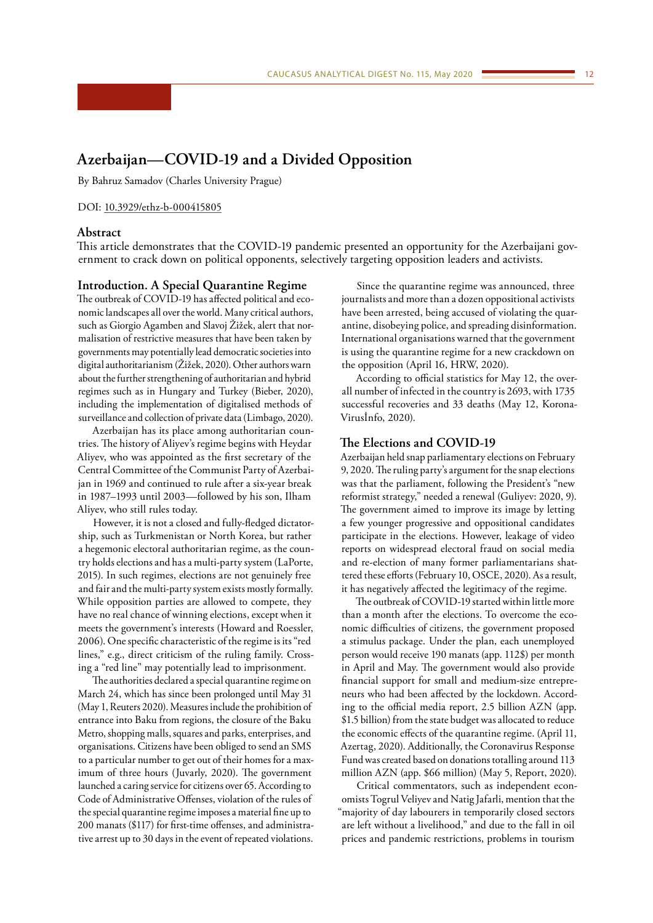# <span id="page-11-0"></span>**Azerbaijan—COVID-19 and a Divided Opposition**

By Bahruz Samadov (Charles University Prague)

#### DOI: [10.3929/ethz-b-000415805](http://doi.org/10.3929/ethz-b-000415805)

# **Abstract**

This article demonstrates that the COVID-19 pandemic presented an opportunity for the Azerbaijani government to crack down on political opponents, selectively targeting opposition leaders and activists.

# **Introduction. A Special Quarantine Regime**

The outbreak of COVID-19 has affected political and economic landscapes all over the world. Many critical authors, such as Giorgio Agamben and Slavoj Žižek, alert that normalisation of restrictive measures that have been taken by governments may potentially lead democratic societies into digital authoritarianism (Žižek, 2020). Other authors warn about the further strengthening of authoritarian and hybrid regimes such as in Hungary and Turkey (Bieber, 2020), including the implementation of digitalised methods of surveillance and collection of private data (Limbago, 2020).

Azerbaijan has its place among authoritarian countries. The history of Aliyev's regime begins with Heydar Aliyev, who was appointed as the first secretary of the Central Committee of the Communist Party of Azerbaijan in 1969 and continued to rule after a six-year break in 1987–1993 until 2003—followed by his son, Ilham Aliyev, who still rules today.

However, it is not a closed and fully-fledged dictatorship, such as Turkmenistan or North Korea, but rather a hegemonic electoral authoritarian regime, as the country holds elections and has a multi-party system (LaPorte, 2015). In such regimes, elections are not genuinely free and fair and the multi-party system exists mostly formally. While opposition parties are allowed to compete, they have no real chance of winning elections, except when it meets the government's interests (Howard and Roessler, 2006). One specific characteristic of the regime is its "red lines," e.g., direct criticism of the ruling family. Crossing a "red line" may potentially lead to imprisonment.

The authorities declared a special quarantine regime on March 24, which has since been prolonged until May 31 (May 1, Reuters 2020). Measures include the prohibition of entrance into Baku from regions, the closure of the Baku Metro, shopping malls, squares and parks, enterprises, and organisations. Citizens have been obliged to send an SMS to a particular number to get out of their homes for a maximum of three hours (Juvarly, 2020). The government launched a caring service for citizens over 65. According to Code of Administrative Offenses, violation of the rules of the special quarantine regime imposes a material fine up to 200 manats (\$117) for first-time offenses, and administrative arrest up to 30 days in the event of repeated violations.

Since the quarantine regime was announced, three journalists and more than a dozen oppositional activists have been arrested, being accused of violating the quarantine, disobeying police, and spreading disinformation. International organisations warned that the government is using the quarantine regime for a new crackdown on the opposition (April 16, HRW, 2020).

According to official statistics for May 12, the overall number of infected in the country is 2693, with 1735 successful recoveries and 33 deaths (May 12, Korona-Virusİnfo, 2020).

### **The Elections and COVID-19**

Azerbaijan held snap parliamentary elections on February 9, 2020. The ruling party's argument for the snap elections was that the parliament, following the President's "new reformist strategy," needed a renewal (Guliyev: 2020, 9). The government aimed to improve its image by letting a few younger progressive and oppositional candidates participate in the elections. However, leakage of video reports on widespread electoral fraud on social media and re-election of many former parliamentarians shattered these efforts (February 10, OSCE, 2020). As a result, it has negatively affected the legitimacy of the regime.

The outbreak of COVID-19 started within little more than a month after the elections. To overcome the economic difficulties of citizens, the government proposed a stimulus package. Under the plan, each unemployed person would receive 190 manats (app. 112\$) per month in April and May. The government would also provide financial support for small and medium-size entrepreneurs who had been affected by the lockdown. According to the official media report, 2.5 billion AZN (app. \$1.5 billion) from the state budget was allocated to reduce the economic effects of the quarantine regime. (April 11, Azertag, 2020). Additionally, the Coronavirus Response Fund was created based on donations totalling around 113 million AZN (app. \$66 million) (May 5, Report, 2020).

Critical commentators, such as independent economists Togrul Veliyev and Natig Jafarli, mention that the "majority of day labourers in temporarily closed sectors are left without a livelihood," and due to the fall in oil prices and pandemic restrictions, problems in tourism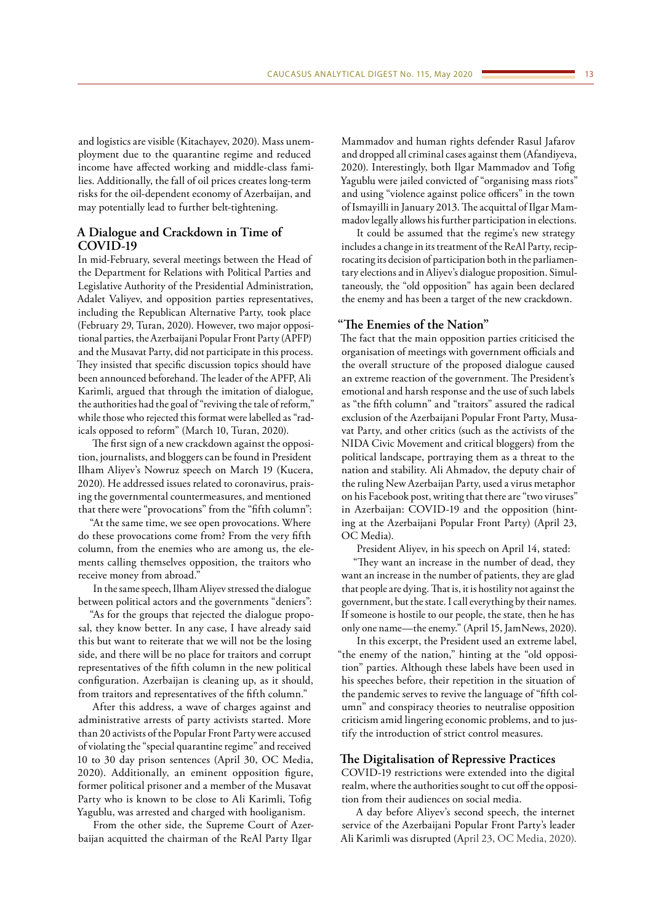and logistics are visible (Kitachayev, 2020). Mass unemployment due to the quarantine regime and reduced income have affected working and middle-class families. Additionally, the fall of oil prices creates long-term risks for the oil-dependent economy of Azerbaijan, and may potentially lead to further belt-tightening.

# **A Dialogue and Crackdown in Time of COVID-19**

In mid-February, several meetings between the Head of the Department for Relations with Political Parties and Legislative Authority of the Presidential Administration, Adalet Valiyev, and opposition parties representatives, including the Republican Alternative Party, took place (February 29, Turan, 2020). However, two major oppositional parties, the Azerbaijani Popular Front Party (APFP) and the Musavat Party, did not participate in this process. They insisted that specific discussion topics should have been announced beforehand. The leader of the APFP, Ali Karimli, argued that through the imitation of dialogue, the authorities had the goal of "reviving the tale of reform," while those who rejected this format were labelled as "radicals opposed to reform" (March 10, Turan, 2020).

The first sign of a new crackdown against the opposition, journalists, and bloggers can be found in President Ilham Aliyev's Nowruz speech on March 19 (Kucera, 2020). He addressed issues related to coronavirus, praising the governmental countermeasures, and mentioned that there were "provocations" from the "fifth column":

"At the same time, we see open provocations. Where do these provocations come from? From the very fifth column, from the enemies who are among us, the elements calling themselves opposition, the traitors who receive money from abroad."

In the same speech, Ilham Aliyev stressed the dialogue between political actors and the governments "deniers":

"As for the groups that rejected the dialogue proposal, they know better. In any case, I have already said this but want to reiterate that we will not be the losing side, and there will be no place for traitors and corrupt representatives of the fifth column in the new political configuration. Azerbaijan is cleaning up, as it should, from traitors and representatives of the fifth column."

After this address, a wave of charges against and administrative arrests of party activists started. More than 20 activists of the Popular Front Party were accused of violating the "special quarantine regime" and received 10 to 30 day prison sentences (April 30, OC Media, 2020). Additionally, an eminent opposition figure, former political prisoner and a member of the Musavat Party who is known to be close to Ali Karimli, Tofig Yagublu, was arrested and charged with hooliganism.

From the other side, the Supreme Court of Azerbaijan acquitted the chairman of the ReAl Party Ilgar

Mammadov and human rights defender Rasul Jafarov and dropped all criminal cases against them (Afandiyeva, 2020). Interestingly, both Ilgar Mammadov and Tofig Yagublu were jailed convicted of "organising mass riots" and using "violence against police officers" in the town of Ismayilli in January 2013. The acquittal of Ilgar Mammadov legally allows his further participation in elections.

It could be assumed that the regime's new strategy includes a change in its treatment of the ReAl Party, reciprocating its decision of participation both in the parliamentary elections and in Aliyev's dialogue proposition. Simultaneously, the "old opposition" has again been declared the enemy and has been a target of the new crackdown.

# **"The Enemies of the Nation"**

The fact that the main opposition parties criticised the organisation of meetings with government officials and the overall structure of the proposed dialogue caused an extreme reaction of the government. The President's emotional and harsh response and the use of such labels as "the fifth column" and "traitors" assured the radical exclusion of the Azerbaijani Popular Front Party, Musavat Party, and other critics (such as the activists of the NIDA Civic Movement and critical bloggers) from the political landscape, portraying them as a threat to the nation and stability. Ali Ahmadov, the deputy chair of the ruling New Azerbaijan Party, used a virus metaphor on his Facebook post, writing that there are "two viruses" in Azerbaijan: COVID-19 and the opposition (hinting at the Azerbaijani Popular Front Party) (April 23, OC Media).

President Aliyev, in his speech on April 14, stated:

"They want an increase in the number of dead, they want an increase in the number of patients, they are glad that people are dying. That is, it is hostility not against the government, but the state. I call everything by their names. If someone is hostile to our people, the state, then he has only one name—the enemy." (April 15, JamNews, 2020).

In this excerpt, the President used an extreme label, "the enemy of the nation," hinting at the "old opposition" parties. Although these labels have been used in his speeches before, their repetition in the situation of the pandemic serves to revive the language of "fifth column" and conspiracy theories to neutralise opposition criticism amid lingering economic problems, and to justify the introduction of strict control measures.

#### **The Digitalisation of Repressive Practices**

COVID-19 restrictions were extended into the digital realm, where the authorities sought to cut off the opposition from their audiences on social media.

A day before Aliyev's second speech, the internet service of the Azerbaijani Popular Front Party's leader Ali Karimli was disrupted (April 23, OC Media, 2020).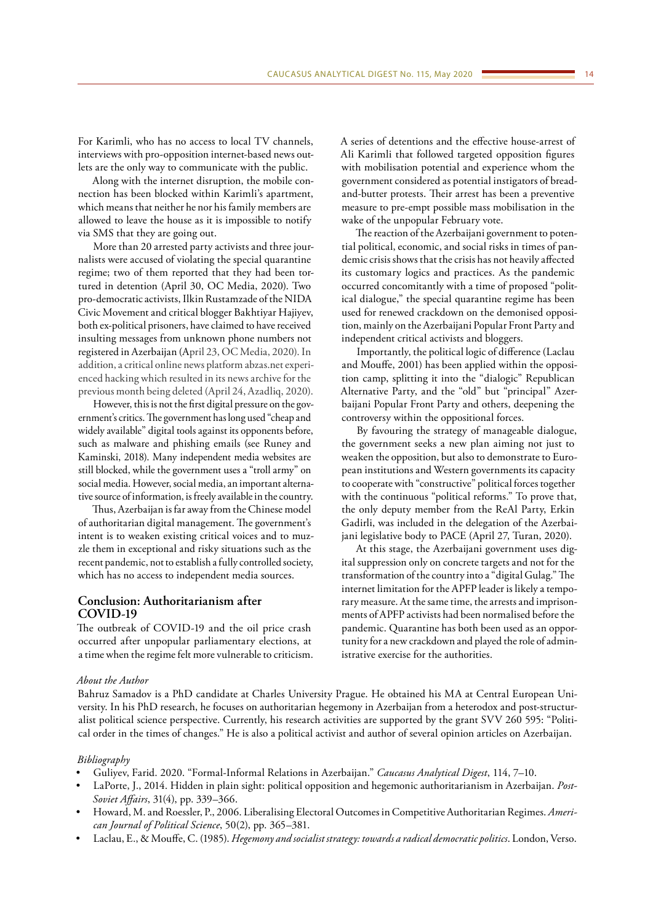For Karimli, who has no access to local TV channels, interviews with pro-opposition internet-based news outlets are the only way to communicate with the public.

Along with the internet disruption, the mobile connection has been blocked within Karimli's apartment, which means that neither he nor his family members are allowed to leave the house as it is impossible to notify via SMS that they are going out.

More than 20 arrested party activists and three journalists were accused of violating the special quarantine regime; two of them reported that they had been tortured in detention (April 30, OC Media, 2020). Two pro-democratic activists, Ilkin Rustamzade of the NIDA Civic Movement and critical blogger Bakhtiyar Hajiyev, both ex-political prisoners, have claimed to have received insulting messages from unknown phone numbers not registered in Azerbaijan (April 23, OC Media, 2020). In addition, a critical online news platform abzas.net experienced hacking which resulted in its news archive for the previous month being deleted (April 24, Azadliq, 2020).

However, this is not the first digital pressure on the government's critics. The government has long used "cheap and widely available" digital tools against its opponents before, such as malware and phishing emails (see Runey and Kaminski, 2018). Many independent media websites are still blocked, while the government uses a "troll army" on social media. However, social media, an important alternative source of information, is freely available in the country.

Thus, Azerbaijan is far away from the Chinese model of authoritarian digital management. The government's intent is to weaken existing critical voices and to muzzle them in exceptional and risky situations such as the recent pandemic, not to establish a fully controlled society, which has no access to independent media sources.

# **Conclusion: Authoritarianism after COVID-19**

The outbreak of COVID-19 and the oil price crash occurred after unpopular parliamentary elections, at a time when the regime felt more vulnerable to criticism. A series of detentions and the effective house-arrest of Ali Karimli that followed targeted opposition figures with mobilisation potential and experience whom the government considered as potential instigators of breadand-butter protests. Their arrest has been a preventive measure to pre-empt possible mass mobilisation in the wake of the unpopular February vote.

The reaction of the Azerbaijani government to potential political, economic, and social risks in times of pandemic crisis shows that the crisis has not heavily affected its customary logics and practices. As the pandemic occurred concomitantly with a time of proposed "political dialogue," the special quarantine regime has been used for renewed crackdown on the demonised opposition, mainly on the Azerbaijani Popular Front Party and independent critical activists and bloggers.

Importantly, the political logic of difference (Laclau and Mouffe, 2001) has been applied within the opposition camp, splitting it into the "dialogic" Republican Alternative Party, and the "old" but "principal" Azerbaijani Popular Front Party and others, deepening the controversy within the oppositional forces.

By favouring the strategy of manageable dialogue, the government seeks a new plan aiming not just to weaken the opposition, but also to demonstrate to European institutions and Western governments its capacity to cooperate with "constructive" political forces together with the continuous "political reforms." To prove that, the only deputy member from the ReAl Party, Erkin Gadirli, was included in the delegation of the Azerbaijani legislative body to PACE (April 27, Turan, 2020).

At this stage, the Azerbaijani government uses digital suppression only on concrete targets and not for the transformation of the country into a "digital Gulag." The internet limitation for the APFP leader is likely a temporary measure. At the same time, the arrests and imprisonments of APFP activists had been normalised before the pandemic. Quarantine has both been used as an opportunity for a new crackdown and played the role of administrative exercise for the authorities.

#### *About the Author*

Bahruz Samadov is a PhD candidate at Charles University Prague. He obtained his MA at Central European University. In his PhD research, he focuses on authoritarian hegemony in Azerbaijan from a heterodox and post-structuralist political science perspective. Currently, his research activities are supported by the grant SVV 260 595: "Political order in the times of changes." He is also a political activist and author of several opinion articles on Azerbaijan.

#### *Bibliography*

- Guliyev, Farid. 2020. "Formal-Informal Relations in Azerbaijan." *Caucasus Analytical Digest*, 114, 7–10.
- LaPorte, J., 2014. Hidden in plain sight: political opposition and hegemonic authoritarianism in Azerbaijan. *Post-Soviet Affairs*, 31(4), pp. 339–366.
- Howard, M. and Roessler, P., 2006. Liberalising Electoral Outcomes in Competitive Authoritarian Regimes. *American Journal of Political Science*, 50(2), pp. 365–381.
- Laclau, E., & Mouffe, C. (1985). *Hegemony and socialist strategy: towards a radical democratic politics*. London, Verso.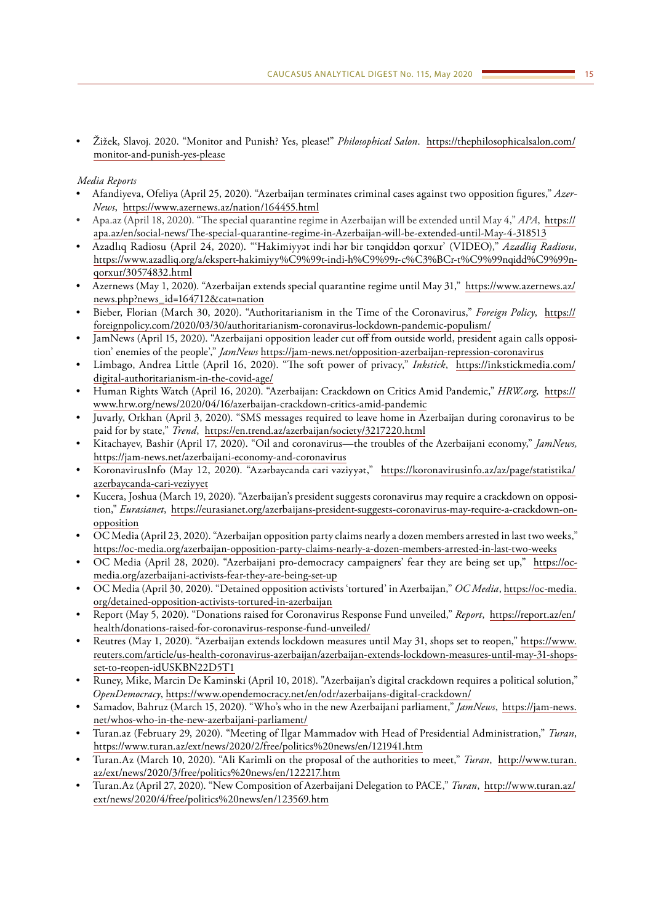• Žižek, Slavoj. 2020. "Monitor and Punish? Yes, please!" *Philosophical Salon*. [https://thephilosophicalsalon.com/](https://thephilosophicalsalon.com/monitor-and-punish-yes-please) [monitor-and-punish-yes-please](https://thephilosophicalsalon.com/monitor-and-punish-yes-please)

# *Media Reports*

- Afandiyeva, Ofeliya (April 25, 2020). "Azerbaijan terminates criminal cases against two opposition figures," *Azer-News*, <https://www.azernews.az/nation/164455.html>
- Apa.az (April 18, 2020). "The special quarantine regime in Azerbaijan will be extended until May 4," *APA*, [https://](https://apa.az/en/social-news/The-special-quarantine-regime-in-Azerbaijan-will-be-extended-until-May-4-318513) [apa.az/en/social-news/The-special-quarantine-regime-in-Azerbaijan-will-be-extended-until-May-4-318513](https://apa.az/en/social-news/The-special-quarantine-regime-in-Azerbaijan-will-be-extended-until-May-4-318513)
- Azadlıq Radiosu (April 24, 2020). "'Hakimiyyət indi hər bir tənqiddən qorxur' (VIDEO)," *Azadliq Radiosu*, [https://www.azadliq.org/a/ekspert-hakimiyy%C9%99t-indi-h%C9%99r-c%C3%BCr-t%C9%99nqidd%C9%99n](https://www.azadliq.org/a/ekspert-hakimiyy%C9%99t-indi-h%C9%99r-c%C3%BCr-t%C9%99nqidd%C9%99n-qorxur/30574832.html)[qorxur/30574832.html](https://www.azadliq.org/a/ekspert-hakimiyy%C9%99t-indi-h%C9%99r-c%C3%BCr-t%C9%99nqidd%C9%99n-qorxur/30574832.html)
- Azernews (May 1, 2020). "Azerbaijan extends special quarantine regime until May 31," [https://www.azernews.az/](https://www.azernews.az/news.php?news_id=164712&cat=nation) [news.php?news\\_id=164712&cat=nation](https://www.azernews.az/news.php?news_id=164712&cat=nation)
- Bieber, Florian (March 30, 2020). "Authoritarianism in the Time of the Coronavirus," *Foreign Policy*, [https://](https://foreignpolicy.com/2020/03/30/authoritarianism-coronavirus-lockdown-pandemic-populism/) [foreignpolicy.com/2020/03/30/authoritarianism-coronavirus-lockdown-pandemic-populism/](https://foreignpolicy.com/2020/03/30/authoritarianism-coronavirus-lockdown-pandemic-populism/)
- JamNews (April 15, 2020). "Azerbaijani opposition leader cut off from outside world, president again calls opposition' enemies of the people'," *JamNews* <https://jam-news.net/opposition-azerbaijan-repression-coronavirus>
- Limbago, Andrea Little (April 16, 2020). "The soft power of privacy," *Inkstick*, [https://inkstickmedia.com/](https://inkstickmedia.com/digital-authoritarianism-in-the-covid-age/) [digital-authoritarianism-in-the-covid-age/](https://inkstickmedia.com/digital-authoritarianism-in-the-covid-age/)
- Human Rights Watch (April 16, 2020). "Azerbaijan: Crackdown on Critics Amid Pandemic," *HRW.org,* [https://](https://www.hrw.org/news/2020/04/16/azerbaijan-crackdown-critics-amid-pandemic) [www.hrw.org/news/2020/04/16/azerbaijan-crackdown-critics-amid-pandemic](https://www.hrw.org/news/2020/04/16/azerbaijan-crackdown-critics-amid-pandemic)
- Juvarly, Orkhan (April 3, 2020). "SMS messages required to leave home in Azerbaijan during coronavirus to be paid for by state," *Trend*, <https://en.trend.az/azerbaijan/society/3217220.html>
- Kitachayev, Bashir (April 17, 2020). "Oil and coronavirus—the troubles of the Azerbaijani economy," *JamNews,* <https://jam-news.net/azerbaijani-economy-and-coronavirus>
- KoronavirusInfo (May 12, 2020). "Azərbaycanda cari vəziyyət," [https://koronavirusinfo.az/az/page/statistika/](https://koronavirusinfo.az/az/page/statistika/azerbaycanda-cari-veziyyet) [azerbaycanda-cari-veziyyet](https://koronavirusinfo.az/az/page/statistika/azerbaycanda-cari-veziyyet)
- Kucera, Joshua (March 19, 2020). "Azerbaijan's president suggests coronavirus may require a crackdown on opposition," *Eurasianet*, [https://eurasianet.org/azerbaijans-president-suggests-coronavirus-may-require-a-crackdown-on](https://eurasianet.org/azerbaijans-president-suggests-coronavirus-may-require-a-crackdown-on-opposition)[opposition](https://eurasianet.org/azerbaijans-president-suggests-coronavirus-may-require-a-crackdown-on-opposition)
- OC Media (April 23, 2020). "Azerbaijan opposition party claims nearly a dozen members arrested in last two weeks," <https://oc-media.org/azerbaijan-opposition-party-claims-nearly-a-dozen-members-arrested-in-last-two-weeks>
- OC Media (April 28, 2020). "Azerbaijani pro-democracy campaigners' fear they are being set up," [https://oc](https://oc-media.org/azerbaijani-activists-fear-they-are-being-set-up)[media.org/azerbaijani-activists-fear-they-are-being-set-up](https://oc-media.org/azerbaijani-activists-fear-they-are-being-set-up)
- OC Media (April 30, 2020). "Detained opposition activists 'tortured' in Azerbaijan," *OC Media*, [https://oc-media.](https://oc-media.org/detained-opposition-activists-tortured-in-azerbaijan) [org/detained-opposition-activists-tortured-in-azerbaijan](https://oc-media.org/detained-opposition-activists-tortured-in-azerbaijan)
- Report (May 5, 2020). "Donations raised for Coronavirus Response Fund unveiled," *Report*, [https://report.az/en/](https://report.az/en/health/donations-raised-for-coronavirus-response-fund-unveiled/) [health/donations-raised-for-coronavirus-response-fund-unveiled/](https://report.az/en/health/donations-raised-for-coronavirus-response-fund-unveiled/)
- Reutres (May 1, 2020). "Azerbaijan extends lockdown measures until May 31, shops set to reopen," [https://www.](https://www.reuters.com/article/us-health-coronavirus-azerbaijan/azerbaijan-extends-lockdown-measures-until-may-31-shops-set-to-reopen-idUSKBN22D5T1) [reuters.com/article/us-health-coronavirus-azerbaijan/azerbaijan-extends-lockdown-measures-until-may-31-shops](https://www.reuters.com/article/us-health-coronavirus-azerbaijan/azerbaijan-extends-lockdown-measures-until-may-31-shops-set-to-reopen-idUSKBN22D5T1)[set-to-reopen-idUSKBN22D5T1](https://www.reuters.com/article/us-health-coronavirus-azerbaijan/azerbaijan-extends-lockdown-measures-until-may-31-shops-set-to-reopen-idUSKBN22D5T1)
- Runey, Mike, Marcin De Kaminski (April 10, 2018). "Azerbaijan's digital crackdown requires a political solution," *OpenDemocracy*,<https://www.opendemocracy.net/en/odr/azerbaijans-digital-crackdown/>
- Samadov, Bahruz (March 15, 2020). "Who's who in the new Azerbaijani parliament," *JamNews*, [https://jam-news.](https://jam-news.net/whos-who-in-the-new-azerbaijani-parliament/) [net/whos-who-in-the-new-azerbaijani-parliament/](https://jam-news.net/whos-who-in-the-new-azerbaijani-parliament/)
- Turan.az (February 29, 2020). "Meeting of Ilgar Mammadov with Head of Presidential Administration," *Turan*, <https://www.turan.az/ext/news/2020/2/free/politics%20news/en/121941.htm>
- Turan.Az (March 10, 2020). "Ali Karimli on the proposal of the authorities to meet," *Turan*, [http://www.turan.](http://www.turan.az/ext/news/2020/3/free/politics%20news/en/122217.htm) [az/ext/news/2020/3/free/politics%20news/en/122217.htm](http://www.turan.az/ext/news/2020/3/free/politics%20news/en/122217.htm)
- Turan.Az (April 27, 2020). "New Composition of Azerbaijani Delegation to PACE," *Turan*, [http://www.turan.az/](http://www.turan.az/ext/news/2020/4/free/politics%20news/en/123569.htm) [ext/news/2020/4/free/politics%20news/en/123569.htm](http://www.turan.az/ext/news/2020/4/free/politics%20news/en/123569.htm)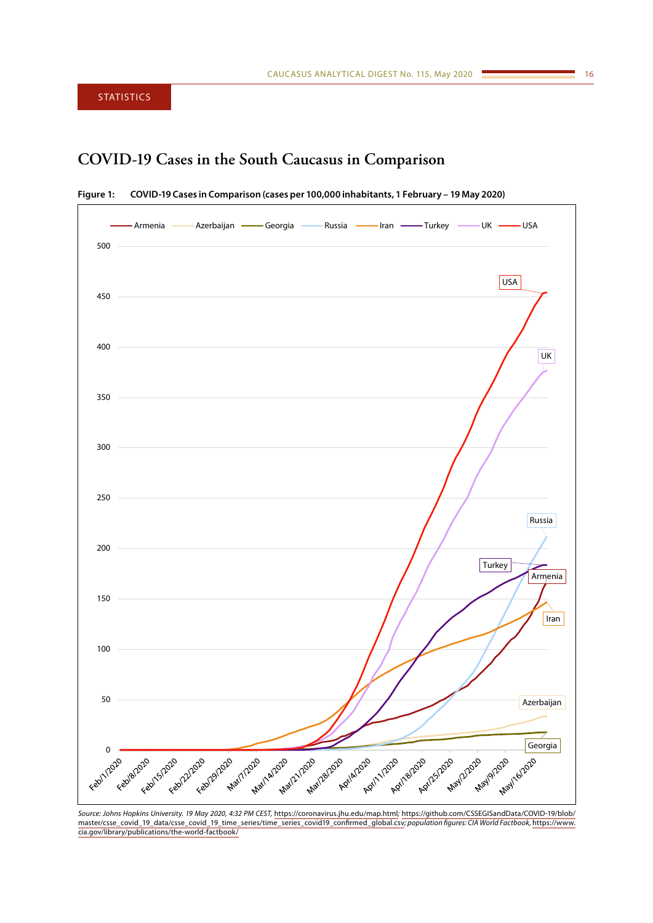<span id="page-15-0"></span>**STATISTICS** 

# **COVID-19 Cases in the South Caucasus in Comparison**





*Source: Johns Hopkins University. 19 May 2020, 4:32 PM CEST,* https://coronavirus.jhu.edu/map.html*;* https://github.com/CSSEGISandData/COVID-19/blob/ master/csse\_covid\_19\_data/csse\_covid\_19\_time\_series/time\_series\_covid19\_confirmed\_global.csv*; population figures: CIA World Factbook,* [https://www.](https://www.cia.gov/library/publications/the-world-factbook/) [cia.gov/library/publications/the-world-factbook/](https://www.cia.gov/library/publications/the-world-factbook/)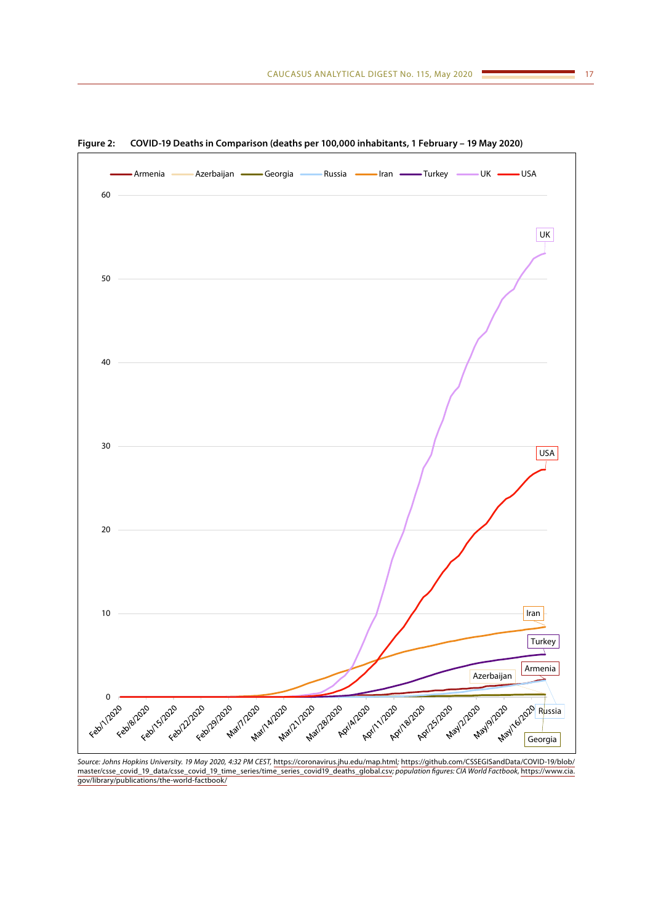

**Figure 2: COVID-19 Deaths in Comparison (deaths per 100,000 inhabitants, 1 February – 19 May 2020)**

*Source: Johns Hopkins University. 19 May 2020, 4:32 PM CEST,* https://coronavirus.jhu.edu/map.html*;* [https://github.com/CSSEGISandData/COVID-19/blob/](https://github.com/CSSEGISandData/COVID-19/blob/master/csse_covid_19_data/csse_covid_19_time_series/time_series_covid19_deaths_global.csv) [master/csse\\_covid\\_19\\_data/csse\\_covid\\_19\\_time\\_series/time\\_series\\_covid19\\_deaths\\_global.csv](https://github.com/CSSEGISandData/COVID-19/blob/master/csse_covid_19_data/csse_covid_19_time_series/time_series_covid19_deaths_global.csv)*; population figures: CIA World Factbook,* [https://www.cia.](https://www.cia.gov/library/publications/the-world-factbook/) [gov/library/publications/the-world-factbook/](https://www.cia.gov/library/publications/the-world-factbook/)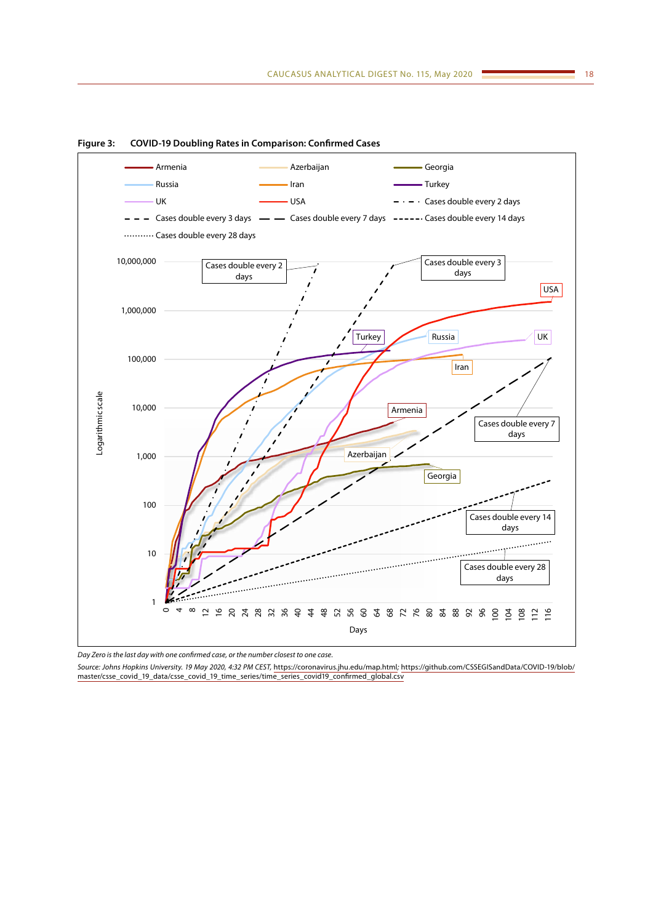

**Figure 3: COVID-19 Doubling Rates in Comparison: Confirmed Cases**

*Day Zero is the last day with one confirmed case, or the number closest to one case.*

*Source: Johns Hopkins University. 19 May 2020, 4:32 PM CEST,* https://coronavirus.jhu.edu/map.html*;* https://github.com/CSSEGISandData/COVID-19/blob/ master/csse\_covid\_19\_data/csse\_covid\_19\_time\_series/time\_series\_covid19\_confirmed\_global.csv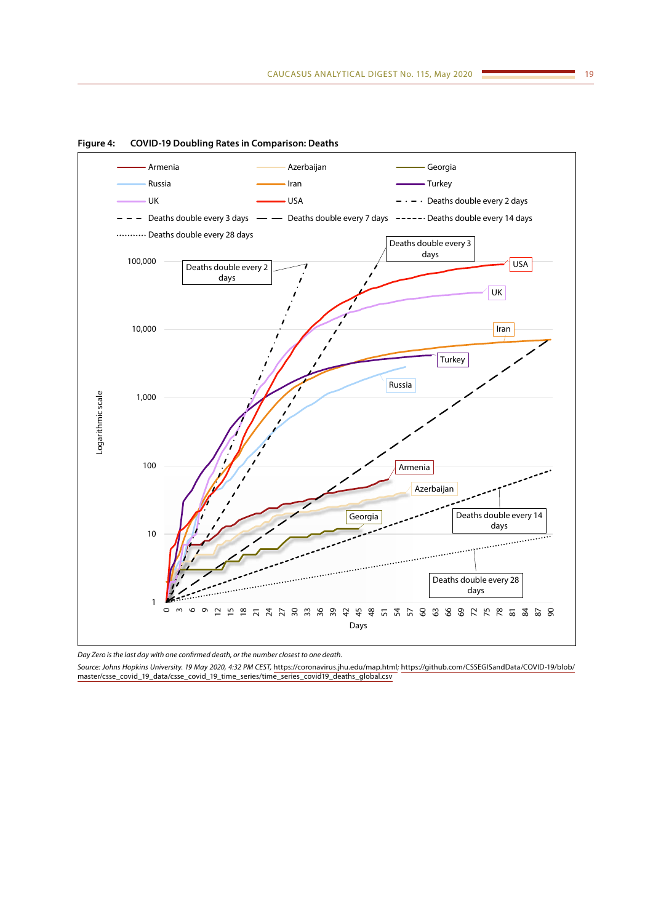

**Figure 4: COVID-19 Doubling Rates in Comparison: Deaths**

*Day Zero is the last day with one confirmed death, or the number closest to one death.*

*Source: Johns Hopkins University. 19 May 2020, 4:32 PM CEST,* https://coronavirus.jhu.edu/map.html*;* [https://github.com/CSSEGISandData/COVID-19/blob/](https://github.com/CSSEGISandData/COVID-19/blob/master/csse_covid_19_data/csse_covid_19_time_series/time_series_covid19_deaths_global.csv) [master/csse\\_covid\\_19\\_data/csse\\_covid\\_19\\_time\\_series/time\\_series\\_covid19\\_deaths\\_global.csv](https://github.com/CSSEGISandData/COVID-19/blob/master/csse_covid_19_data/csse_covid_19_time_series/time_series_covid19_deaths_global.csv)